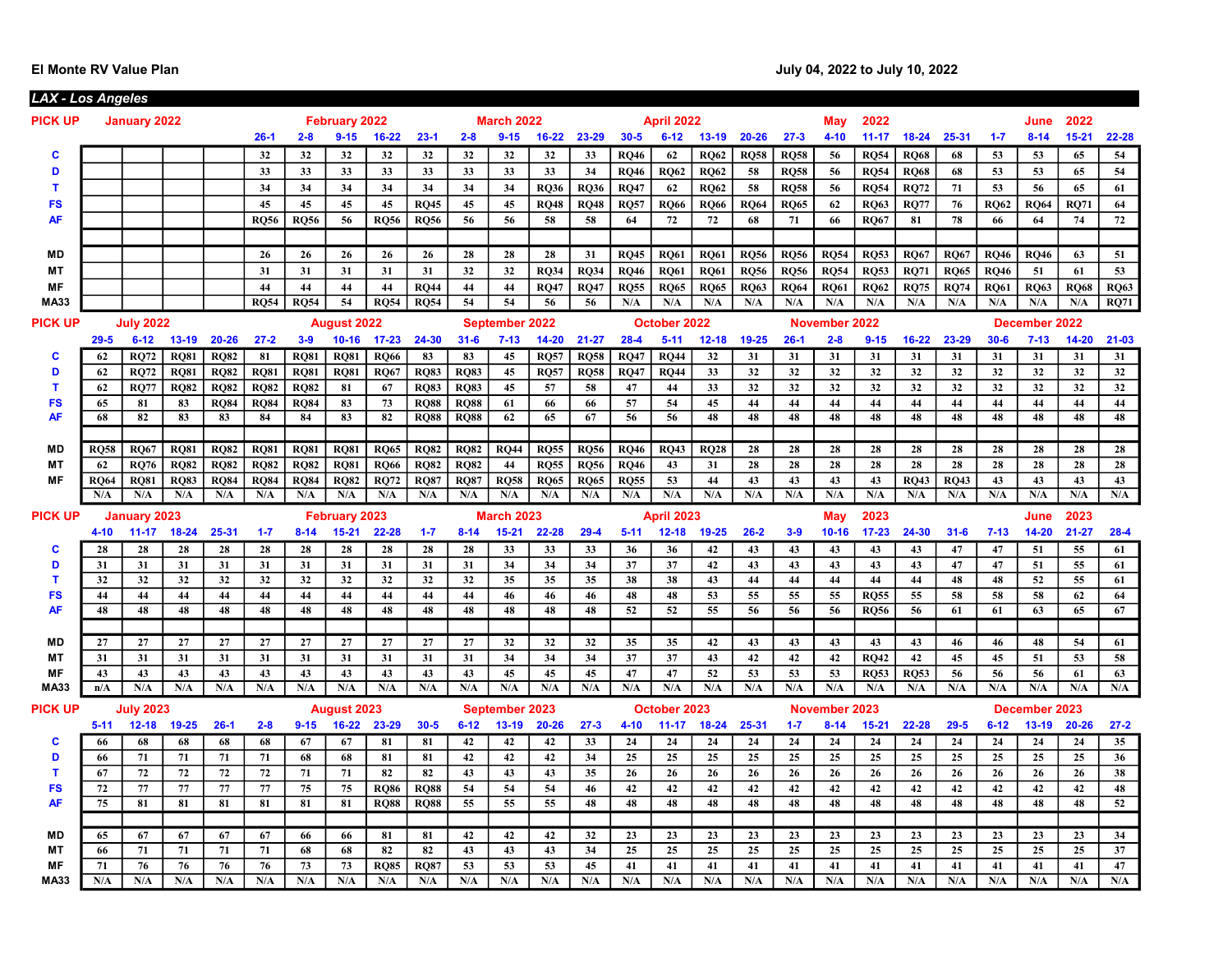| <u> LAX - Los Angeles</u> |                    |                    |                    |                    |                    |                    |                         |                       |                    |                    |                    |                    |                    |                       |                       |             |                       |             |               |                            |                    |                    |             |               |             |             |
|---------------------------|--------------------|--------------------|--------------------|--------------------|--------------------|--------------------|-------------------------|-----------------------|--------------------|--------------------|--------------------|--------------------|--------------------|-----------------------|-----------------------|-------------|-----------------------|-------------|---------------|----------------------------|--------------------|--------------------|-------------|---------------|-------------|-------------|
| <b>PICK UP</b>            |                    | January 2022       |                    |                    |                    |                    | <b>February 2022</b>    |                       |                    |                    | <b>March 2022</b>  |                    |                    |                       | <b>April 2022</b>     |             |                       |             | May           | 2022                       |                    |                    |             | June          | 2022        |             |
|                           |                    |                    |                    |                    | $26-1$             | $2 - 8$            | $9 - 15$                | $16 - 22$             | $23 - 1$           | $2 - 8$            | $9 - 15$           | $16 - 22$          | 23-29              | $30 - 5$              | $6 - 12$              | $13 - 19$   | $20 - 26$             | $27 - 3$    | $4 - 10$      | $11 - 17$                  | $18 - 24$          | 25-31              | $1 - 7$     | $8 - 14$      | $15 - 21$   | 22-28       |
| C                         |                    |                    |                    |                    | 32                 | 32                 | 32                      | 32                    | 32                 | 32                 | 32                 | 32                 | 33                 | <b>RO46</b>           | 62                    | <b>RO62</b> | <b>RO58</b>           | <b>RO58</b> | 56            | <b>RQ54</b>                | <b>RO68</b>        | 68                 | 53          | 53            | 65          | 54          |
| D                         |                    |                    |                    |                    | 33                 | 33                 | 33                      | 33                    | 33                 | 33                 | 33                 | 33                 | 34                 | <b>RQ46</b>           | <b>RO62</b>           | <b>RQ62</b> | 58                    | <b>RQ58</b> | 56            | <b>RQ54</b>                | <b>RQ68</b>        | 68                 | 53          | 53            | 65          | 54          |
| $\mathbf T$               |                    |                    |                    |                    | 34                 | 34                 | 34                      | 34                    | 34                 | 34                 | 34                 | <b>RO36</b>        | <b>RO36</b>        | <b>RO47</b>           | 62                    | <b>RO62</b> | 58                    | <b>RO58</b> | 56            | <b>RO54</b>                | <b>RO72</b>        | 71                 | 53          | 56            | 65          | 61          |
| <b>FS</b>                 |                    |                    |                    |                    | 45                 | 45                 | 45                      | 45                    | <b>RO45</b>        | 45                 | 45                 | <b>RQ48</b>        | <b>RQ48</b>        | <b>RQ57</b>           | <b>RO66</b>           | <b>RQ66</b> | <b>RO64</b>           | <b>RO65</b> | 62            | <b>RO63</b>                | <b>RO77</b>        | 76                 | <b>RO62</b> | <b>RQ64</b>   | RQ71        | 64          |
| <b>AF</b>                 |                    |                    |                    |                    | <b>RO56</b>        | <b>RQ56</b>        | 56                      | <b>RQ56</b>           | <b>RQ56</b>        | 56                 | 56                 | 58                 | 58                 | 64                    | 72                    | 72          | 68                    | 71          | 66            | <b>RO67</b>                | 81                 | 78                 | 66          | 64            | 74          | 72          |
|                           |                    |                    |                    |                    |                    |                    |                         |                       |                    |                    |                    |                    |                    |                       |                       |             |                       |             |               |                            |                    |                    |             |               |             |             |
| <b>MD</b>                 |                    |                    |                    |                    | 26                 | 26                 | 26                      | 26                    | 26                 | 28                 | 28                 | 28                 | 31                 | <b>RQ45</b>           | <b>RO61</b>           | <b>RQ61</b> | <b>RO56</b>           | <b>RO56</b> | <b>RQ54</b>   | <b>RO53</b>                | <b>RO67</b>        | <b>RQ67</b>        | <b>RO46</b> | <b>RQ46</b>   | 63          | 51          |
| МT                        |                    |                    |                    |                    | 31                 | 31                 | 31                      | 31                    | 31                 | 32                 | 32                 | <b>RQ34</b>        | <b>RQ34</b>        | <b>RQ46</b>           | <b>RQ61</b>           | <b>RQ61</b> | <b>RQ56</b>           | <b>RQ56</b> | <b>RQ54</b>   | <b>RQ53</b>                | <b>RQ71</b>        | <b>RQ65</b>        | <b>RQ46</b> | 51            | 61          | 53          |
| MF                        |                    |                    |                    |                    | 44                 | 44                 | 44                      | 44                    | <b>RO44</b>        | 44                 | 44                 | <b>RO47</b>        | <b>RO47</b>        | <b>RQ55</b>           | <b>RQ65</b>           | <b>RO65</b> | <b>RO63</b>           | <b>RO64</b> | <b>RO61</b>   | <b>RO62</b>                | <b>RO75</b>        | <b>RQ74</b>        | <b>RQ61</b> | <b>RQ63</b>   | <b>RO68</b> | <b>RQ63</b> |
| <b>MA33</b>               |                    |                    |                    |                    | <b>RO54</b>        | <b>RO54</b>        | 54                      | <b>RO54</b>           | <b>RO54</b>        | 54                 | 54                 | 56                 | 56                 | N/A                   | N/A                   | N/A         | N/A                   | N/A         | N/A           | N/A                        | N/A                | N/A                | N/A         | N/A           | N/A         | <b>RQ71</b> |
| <b>PICK UP</b>            |                    | <b>July 2022</b>   |                    |                    |                    |                    | <b>August 2022</b>      |                       |                    |                    | September 2022     |                    |                    |                       | October 2022          |             |                       |             | November 2022 |                            |                    |                    |             | December 2022 |             |             |
|                           | $29 - 5$           | $6 - 12$           | $13 - 19$          | $20 - 26$          | $27 - 2$           | $3 - 9$            | $10 - 16$               | $17 - 23$             | 24-30              | $31 - 6$           | $7 - 13$           | $14 - 20$          | $21 - 27$          | $28 - 4$              | $5 - 11$              | $12 - 18$   | 19-25                 | $26-1$      | $2 - 8$       | $9 - 15$                   | $16 - 22$          | 23-29              | $30 - 6$    | $7 - 13$      | $14 - 20$   | $21 - 03$   |
| c                         | 62                 | <b>RO72</b>        | <b>RQ81</b>        | <b>RQ82</b>        | 81                 | <b>RQ81</b>        | <b>RO81</b>             | <b>RO66</b>           | 83                 | 83                 | 45                 | <b>RQ57</b>        | <b>RQ58</b>        | <b>RQ47</b>           | <b>RO44</b>           | 32          | 31                    | 31          | 31            | 31                         | 31                 | 31                 | 31          | 31            | 31          | 31          |
| D                         | 62                 | <b>RQ72</b>        | <b>RQ81</b>        | <b>RQ82</b>        | <b>RQ81</b>        | <b>RQ81</b>        | <b>RQ81</b>             | <b>RQ67</b>           | <b>RQ83</b>        | <b>RQ83</b>        | 45                 | <b>RQ57</b>        | <b>RQ58</b>        | <b>RQ47</b>           | <b>RQ44</b>           | 33          | 32                    | 32          | 32            | 32                         | 32                 | 32                 | 32          | 32            | 32          | 32          |
| T.                        | 62                 | <b>RO77</b>        | <b>RQ82</b>        | <b>RQ82</b>        | <b>RQ82</b>        | <b>RQ82</b>        | 81                      | 67                    | <b>RQ83</b>        | <b>RQ83</b>        | 45                 | 57                 | 58                 | 47                    | 44                    | 33          | 32                    | 32          | 32            | 32                         | 32                 | 32                 | 32          | 32            | 32          | 32          |
| <b>FS</b>                 | 65                 | 81                 | 83                 | <b>RQ84</b>        | <b>RO84</b>        | <b>RO84</b>        | 83                      | 73                    | <b>RO88</b>        | <b>RO88</b>        | 61                 | 66                 | 66                 | 57                    | 54                    | 45          | 44                    | 44          | 44            | 44                         | 44                 | 44                 | 44          | 44            | 44          | 44          |
| AF                        | 68                 | 82                 | 83                 | 83                 | 84                 | 84                 | 83                      | 82                    | <b>RQ88</b>        | <b>RQ88</b>        | 62                 | 65                 | 67                 | 56                    | 56                    | 48          | 48                    | 48          | 48            | 48                         | 48                 | 48                 | 48          | 48            | 48          | 48          |
|                           |                    |                    |                    |                    |                    |                    |                         |                       |                    |                    |                    |                    |                    |                       |                       |             |                       |             |               |                            |                    |                    |             |               |             |             |
| <b>MD</b>                 | <b>RQ58</b>        | <b>RQ67</b>        | <b>RQ81</b>        | <b>RQ82</b>        | <b>RQ81</b>        | <b>RQ81</b>        | <b>RQ81</b>             | <b>RQ65</b>           | <b>RQ82</b>        | <b>RQ82</b>        | <b>RQ44</b>        | <b>RQ55</b>        | <b>RQ56</b>        | <b>RQ46</b>           | <b>RQ43</b>           | <b>RQ28</b> | 28                    | 28          | 28            | 28                         | 28                 | 28                 | 28          | 28            | 28          | 28          |
| MT                        | 62                 | <b>RQ76</b>        | <b>RQ82</b>        | <b>RQ82</b>        | <b>RQ82</b>        | <b>RQ82</b>        | <b>RQ81</b>             | <b>RQ66</b>           | <b>RQ82</b>        | <b>RQ82</b>        | 44                 | <b>RQ55</b>        | <b>RQ56</b>        | <b>RQ46</b>           | 43                    | 31          | 28                    | 28          | 28            | 28                         | 28                 | 28                 | 28          | 28            | 28          | 28          |
| <b>MF</b>                 | <b>RO64</b><br>N/A | <b>RO81</b><br>N/A | <b>RO83</b><br>N/A | <b>RQ84</b><br>N/A | <b>RO84</b><br>N/A | <b>RQ84</b><br>N/A | <b>RO82</b><br>N/A      | <b>RO72</b><br>N/A    | <b>RQ87</b><br>N/A | <b>RQ87</b><br>N/A | <b>RO58</b><br>N/A | <b>RO65</b><br>N/A | <b>RQ65</b><br>N/A | <b>RQ55</b><br>N/A    | 53<br>N/A             | 44<br>N/A   | 43<br>N/A             | 43<br>N/A   | 43<br>N/A     | 43<br>N/A                  | <b>RO43</b><br>N/A | <b>RO43</b><br>N/A | 43<br>N/A   | 43<br>N/A     | 43<br>N/A   | 43<br>N/A   |
|                           |                    |                    |                    |                    |                    |                    |                         |                       |                    |                    |                    |                    |                    |                       |                       |             |                       |             |               |                            |                    |                    |             |               |             |             |
| PICK UP                   |                    | January 2023       |                    |                    |                    |                    | February 2023           |                       |                    |                    | <b>March 2023</b>  |                    |                    |                       | <b>April 2023</b>     |             |                       |             | May           | 2023                       |                    |                    |             | <b>June</b>   | 2023        |             |
|                           | $4 - 10$           | $11 - 17$          | $18 - 24$          | $25 - 31$          | $1 - 7$            | $8 - 14$           | $15 - 21$               | 22-28                 | $1 - 7$            | $8 - 14$           | $15 - 21$          | 22-28              | $29-4$             | $5 - 11$              | $12 - 18$             | $19 - 25$   | $26 - 2$              | $3-9$       | $10 - 16$     | $17 - 23$                  | 24-30              | $31 - 6$           | $7 - 13$    | $14 - 20$     | $21 - 27$   | $28 - 4$    |
| c                         | 28                 | 28                 | 28                 | 28                 | 28                 | 28                 | 28                      | 28                    | 28                 | 28                 | 33                 | 33                 | 33                 | 36                    | 36                    | 42          | 43                    | 43          | 43            | 43                         | 43                 | 47                 | 47          | 51            | 55          | 61          |
| D                         | 31                 | 31                 | 31                 | 31                 | 31                 | 31                 | 31                      | 31                    | 31                 | 31                 | 34                 | 34                 | 34                 | 37                    | 37                    | 42          | 43                    | 43          | 43            | 43                         | 43                 | 47                 | 47          | 51            | 55          | 61          |
| т                         | 32                 | 32                 | 32                 | 32                 | 32                 | 32                 | 32                      | 32                    | 32                 | 32                 | 35                 | 35                 | 35                 | 38                    | 38                    | 43          | 44                    | 44          | 44            | 44                         | 44                 | 48                 | 48          | 52            | 55          | 61          |
| <b>FS</b><br>AF           | 44<br>48           | 44<br>48           | 44<br>48           | 44<br>48           | 44<br>48           | 44<br>48           | 44<br>48                | 44<br>$\overline{48}$ | 44<br>48           | 44<br>48           | 46<br>48           | 46<br>48           | 46<br>48           | 48<br>$\overline{52}$ | 48<br>$\overline{52}$ | 53<br>55    | 55<br>$\overline{56}$ | 55<br>56    | 55<br>56      | <b>RO55</b><br><b>RQ56</b> | 55<br>56           | 58<br>61           | 58<br>61    | 58<br>63      | 62<br>65    | 64<br>67    |
|                           |                    |                    |                    |                    |                    |                    |                         |                       |                    |                    |                    |                    |                    |                       |                       |             |                       |             |               |                            |                    |                    |             |               |             |             |
| <b>MD</b>                 | 27                 | 27                 | 27                 | 27                 | 27                 | 27                 | 27                      | 27                    | 27                 | 27                 | 32                 | 32                 | 32                 | 35                    | 35                    | 42          | 43                    | 43          | 43            | 43                         | 43                 | 46                 | 46          | 48            | 54          | 61          |
| MT                        | 31                 | 31                 | 31                 | 31                 | 31                 | 31                 | 31                      | 31                    | 31                 | 31                 | 34                 | 34                 | 34                 | 37                    | 37                    | 43          | 42                    | 42          | 42            | <b>RO42</b>                | 42                 | 45                 | 45          | 51            | 53          | 58          |
| <b>MF</b>                 | 43                 | 43                 | 43                 | 43                 | 43                 | 43                 | 43                      | 43                    | 43                 | 43                 | 45                 | 45                 | 45                 | 47                    | 47                    | 52          | 53                    | 53          | 53            | <b>RO53</b>                | <b>RO53</b>        | 56                 | 56          | 56            | 61          | 63          |
| <b>MA33</b>               | n/A                | N/A                | N/A                | N/A                | N/A                | N/A                | N/A                     | N/A                   | N/A                | N/A                | N/A                | N/A                | N/A                | N/A                   | N/A                   | N/A         | N/A                   | N/A         | N/A           | N/A                        | N/A                | N/A                | N/A         | N/A           | N/A         | N/A         |
| <b>PICK UP</b>            |                    | <b>July 2023</b>   |                    |                    |                    |                    | <b>August 2023</b>      |                       |                    |                    | September 2023     |                    |                    |                       | October 2023          |             |                       |             | November 2023 |                            |                    |                    |             | December 2023 |             |             |
|                           | $5 - 11$           | $12 - 18$          | 19-25              | $26-1$             | $2 - 8$            | $9 - 15$           | $16 - 22$               | 23-29                 | $30 - 5$           | $6 - 12$           | $13 - 19$          | $20 - 26$          | $27 - 3$           | $4 - 10$              | $11 - 17$             | $18 - 24$   | 25-31                 | $1 - 7$     | $8 - 14$      | $15 - 21$                  | $22 - 28$          | $29 - 5$           | $6 - 12$    | $13 - 19$     | $20 - 26$   | $27 - 2$    |
| c                         | 66                 | 68                 | 68                 | 68                 | 68                 | 67                 | 67                      | 81                    | 81                 | 42                 | 42                 | 42                 | 33                 | 24                    | 24                    | 24          | 24                    | 24          | 24            | 24                         | 24                 | 24                 | 24          | 24            | 24          | 35          |
| D                         | 66                 | 71                 | 71                 | 71                 | 71                 | 68                 | 68                      | 81                    | 81                 | 42                 | 42                 | 42                 | 34                 | 25                    | 25                    | 25          | 25                    | 25          | 25            | 25                         | 25                 | 25                 | 25          | 25            | 25          | 36          |
| T                         | 67                 | 72                 | 72                 | 72                 | 72                 | 71                 | 71                      | 82                    | 82                 | 43                 | 43                 | 43                 | 35                 | 26                    | 26                    | 26          | 26                    | 26          | 26            | 26                         | 26                 | 26                 | 26          | 26            | 26          | 38          |
| <b>FS</b>                 | 72                 | 77                 | 77                 | 77                 | 77                 | 75                 | 75                      | <b>RQ86</b>           | <b>RQ88</b>        | 54                 | 54                 | 54                 | 46                 | 42                    | 42                    | 42          | 42                    | 42          | 42            | 42                         | 42                 | 42                 | 42          | 42            | 42          | 48          |
| AF                        | 75                 | 81                 | 81                 | 81                 | 81                 | 81                 | 81                      | <b>RQ88</b>           | <b>RQ88</b>        | 55                 | $\overline{55}$    | $\overline{55}$    | 48                 | 48                    | 48                    | 48          | 48                    | 48          | 48            | 48                         | 48                 | 48                 | 48          | 48            | 48          | 52          |
|                           |                    |                    |                    |                    |                    |                    |                         |                       |                    |                    |                    |                    |                    |                       |                       |             |                       |             |               |                            |                    |                    |             |               |             |             |
| MD                        | 65                 | 67                 | 67                 | 67                 | 67                 | 66                 | 66                      | 81                    | 81                 | 42                 | 42                 | 42                 | 32                 | 23                    | 23                    | 23          | 23                    | 23          | 23            | 23                         | 23                 | 23                 | 23          | 23            | 23          | 34          |
| MT                        | 66                 | 71                 | 71                 | 71                 | 71                 | 68                 | 68                      | 82                    | 82                 | 43                 | 43                 | 43                 | 34                 | 25                    | 25                    | 25          | 25                    | 25          | 25            | 25                         | 25                 | 25                 | 25          | 25            | 25          | 37          |
| MF                        | 71                 | 76                 | 76                 | 76                 | 76                 | 73                 | 73                      | <b>RO85</b>           | <b>RO87</b>        | 53                 | 53                 | 53                 | 45                 | 41                    | 41                    | 41          | 41                    | 41          | 41            | 41                         | 41                 | 41                 | 41          | 41            | 41          | 47          |
| <b>MA33</b>               | N/A                | N/A                | N/A                | N/A                | N/A                | N/A                | $\overline{\text{N/A}}$ | N/A                   | N/A                | N/A                | N/A                | N/A                | N/A                | N/A                   | N/A                   | N/A         | N/A                   | N/A         | N/A           | N/A                        | N/A                | N/A                | N/A         | N/A           | N/A         | N/A         |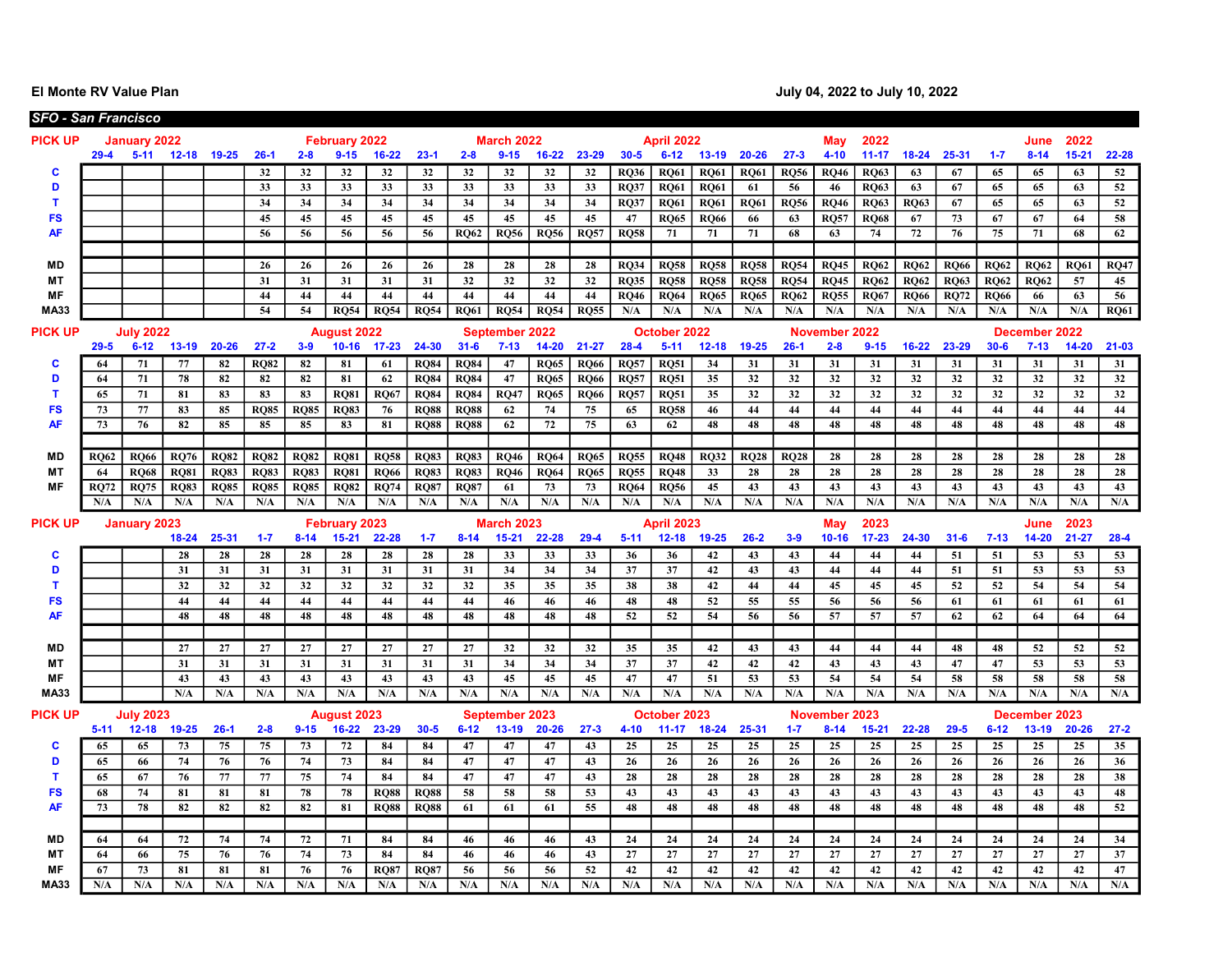El Monte RV Value Plan **Intervention Contract Contract Contract Contract Contract Contract Contract Contract Contract Contract Contract Contract Contract Contract Contract Contract Contract Contract Contract Contract Contr** 

|                        |                    | <b>SFO - San Francisco</b>                                            |                    |                    |                    |                    |                                 |                    |                    |                    |                             |             |             |                    |                           |             |                               |             |                             |                   |                               |             |                               |                               |             |             |
|------------------------|--------------------|-----------------------------------------------------------------------|--------------------|--------------------|--------------------|--------------------|---------------------------------|--------------------|--------------------|--------------------|-----------------------------|-------------|-------------|--------------------|---------------------------|-------------|-------------------------------|-------------|-----------------------------|-------------------|-------------------------------|-------------|-------------------------------|-------------------------------|-------------|-------------|
| <b>PICK UP</b>         |                    | January 2022                                                          |                    |                    |                    |                    | <b>February 2022</b>            |                    |                    |                    | <b>March 2022</b>           |             |             |                    | <b>April 2022</b>         |             |                               |             | May                         | 2022              |                               |             |                               | June                          | 2022        |             |
|                        | $29-4$             | $5 - 11$<br>$16 - 22$<br>12-18 19-25<br>$26-1$<br>$2 - 8$<br>$9 - 15$ |                    |                    |                    |                    |                                 |                    | $23 - 1$           | $2 - 8$            | $9 - 15$                    | $16 - 22$   | 23-29       | $30 - 5$           | $6 - 12$                  | $13 - 19$   | $20 - 26$                     | $27 - 3$    | $4 - 10$                    | $11 - 17$         | $18 - 24$                     | 25-31       | $1 - 7$                       | $8 - 14$                      | $15 - 21$   | 22-28       |
| c                      |                    |                                                                       |                    |                    | 32                 | 32                 | 32                              | 32                 | 32                 | 32                 | 32                          | 32          | 32          | <b>RQ36</b>        | <b>RQ61</b>               | <b>RQ61</b> | <b>RO61</b>                   | <b>RQ56</b> | <b>RO46</b>                 | <b>RO63</b>       | 63                            | 67          | 65                            | 65                            | 63          | 52          |
| D                      |                    |                                                                       |                    |                    | 33                 | 33                 | 33                              | 33                 | 33                 | 33                 | 33                          | 33          | 33          | <b>RO37</b>        | <b>RO61</b>               | <b>RO61</b> | 61                            | 56          | 46                          | <b>RO63</b>       | 63                            | 67          | 65                            | 65                            | 63          | 52          |
| $\mathbf{T}$           |                    |                                                                       |                    |                    | 34                 | 34                 | 34                              | 34                 | 34                 | 34                 | 34                          | 34          | 34          | <b>RO37</b>        | <b>RO61</b>               | <b>RQ61</b> | <b>RQ61</b>                   | <b>RO56</b> | <b>RO46</b>                 | <b>RO63</b>       | <b>RO63</b>                   | 67          | 65                            | 65                            | 63          | 52          |
| <b>FS</b>              |                    |                                                                       |                    |                    | 45                 | 45                 | 45                              | 45                 | 45                 | 45                 | 45                          | 45          | 45          | 47                 | <b>RO65</b>               | <b>RO66</b> | 66                            | 63          | <b>RQ57</b>                 | <b>RO68</b>       | 67                            | 73          | 67                            | 67                            | 64          | 58          |
| <b>AF</b>              |                    |                                                                       |                    |                    | 56                 | 56                 | 56                              | 56                 | 56                 | <b>RO62</b>        | <b>RQ56</b>                 | <b>RQ56</b> | RQ57        | <b>RQ58</b>        | 71                        | 71          | 71                            | 68          | 63                          | 74                | 72                            | 76          | 75                            | 71                            | 68          | 62          |
|                        |                    |                                                                       |                    |                    |                    |                    |                                 |                    |                    |                    |                             |             |             |                    |                           |             |                               |             |                             |                   |                               |             |                               |                               |             |             |
| MD                     |                    |                                                                       |                    |                    | 26                 | 26                 | 26                              | 26                 | 26                 | 28                 | 28                          | 28          | 28          | <b>RO34</b>        | <b>RO58</b>               | <b>RO58</b> | <b>RQ58</b>                   | <b>RO54</b> | <b>RQ45</b>                 | <b>RO62</b>       | <b>RO62</b>                   | <b>RO66</b> | <b>RO62</b>                   | <b>RO62</b>                   | <b>RO61</b> | <b>RO47</b> |
| MT                     |                    |                                                                       |                    |                    | 31                 | 31                 | 31                              | 31                 | 31                 | 32                 | 32                          | 32          | 32          | <b>RO35</b>        | <b>RO58</b>               | <b>RO58</b> | <b>RO58</b>                   | <b>RO54</b> | <b>RO45</b>                 | <b>RO62</b>       | <b>RO62</b>                   | <b>RO63</b> | <b>RO62</b>                   | <b>RO62</b>                   | 57          | 45          |
| <b>MF</b>              |                    |                                                                       |                    |                    | 44                 | 44                 | 44                              | 44                 | 44                 | 44                 | 44                          | 44          | 44          | <b>RO46</b>        | <b>RO64</b>               | <b>RO65</b> | <b>RO65</b>                   | <b>RO62</b> | <b>RO55</b>                 | <b>RO67</b>       | <b>RO66</b>                   | <b>RO72</b> | <b>RO66</b>                   | 66                            | 63          | 56          |
| <b>MA33</b>            |                    |                                                                       |                    |                    | 54                 | 54                 | <b>RQ54</b>                     | <b>RQ54</b>        | <b>RQ54</b>        | <b>RQ61</b>        | <b>RQ54</b>                 | <b>RQ54</b> | <b>RQ55</b> | N/A                | N/A                       | N/A         | N/A                           | N/A         | N/A                         | N/A               | N/A                           | N/A         | N/A                           | N/A                           | N/A         | <b>RQ61</b> |
| <b>PICK UP</b>         |                    | <b>July 2022</b>                                                      |                    |                    |                    |                    | <b>August 2022</b>              |                    |                    |                    | September 2022              |             |             |                    | October 2022              |             |                               |             | November 2022               |                   |                               |             |                               | December 2022                 |             |             |
|                        | $29 - 5$           | $6 - 12$                                                              | $13 - 19$          | $20 - 26$          | $27 - 2$           | $3 - 9$            |                                 | 10-16 17-23        | 24-30              | $31 - 6$           | $7 - 13$                    | $14 - 20$   | $21 - 27$   | $28 - 4$           | $5 - 11$                  | $12 - 18$   | $19 - 25$                     | $26-1$      | $2 - 8$                     | $9 - 15$          | $16 - 22$                     | 23-29       | $30 - 6$                      | $7 - 13$                      | $14 - 20$   | $21 - 03$   |
| c                      | 64                 | 71                                                                    | 77                 | 82                 | <b>RQ82</b>        | 82                 | 81                              | 61                 | <b>RO84</b>        | <b>RQ84</b>        | 47                          | <b>RQ65</b> | <b>RQ66</b> | <b>RQ57</b>        | <b>RQ51</b>               | 34          | 31                            | 31          | 31                          | 31                | 31                            | 31          | 31                            | 31                            | 31          | 31          |
| D                      | 64                 | 71                                                                    | 78                 | 82                 | 82                 | 82                 | 81                              | 62                 | <b>RO84</b>        | <b>RO84</b>        | 47                          | <b>RO65</b> | <b>RO66</b> | <b>RO57</b>        | <b>RO51</b>               | 35          | 32                            | 32          | 32                          | 32                | 32                            | 32          | 32                            | 32                            | 32          | 32          |
| T                      | 65                 | 71                                                                    | 81                 | 83                 | 83                 | 83                 | <b>RO81</b>                     | <b>RO67</b>        | <b>RO84</b>        | <b>RO84</b>        | <b>RQ47</b>                 | <b>RQ65</b> | <b>RQ66</b> | <b>RQ57</b>        | <b>RO51</b>               | 35          | 32                            | 32          | 32                          | 32                | 32                            | 32          | 32                            | 32                            | 32          | 32          |
| <b>FS</b>              | 73                 | 77                                                                    | 83                 | 85                 | <b>RQ85</b>        | <b>RQ85</b>        | <b>RO83</b>                     | 76                 | <b>RO88</b>        | <b>RO88</b>        | 62                          | 74          | 75          | 65                 | <b>RO58</b>               | 46          | 44                            | 44          | 44                          | 44                | 44                            | 44          | 44                            | 44                            | 44          | 44          |
| <b>AF</b>              | 73                 | 76                                                                    | 82                 | 85                 | 85                 | 85                 | 83                              | 81                 | <b>RQ88</b>        | <b>RQ88</b>        | 62                          | 72          | 75          | 63                 | 62                        | 48          | 48                            | 48          | 48                          | 48                | 48                            | 48          | 48                            | 48                            | 48          | 48          |
|                        |                    |                                                                       |                    |                    |                    |                    |                                 |                    |                    |                    |                             |             |             |                    |                           |             |                               |             |                             |                   |                               |             |                               |                               |             |             |
| <b>MD</b>              | <b>RQ62</b>        | <b>RQ66</b>                                                           | <b>RQ76</b>        | <b>RQ82</b>        | <b>RQ82</b>        | <b>RQ82</b>        | <b>RQ81</b>                     | <b>RQ58</b>        | <b>RO83</b>        | <b>RO83</b>        | <b>RQ46</b>                 | <b>RQ64</b> | <b>RQ65</b> | <b>RQ55</b>        | <b>RQ48</b>               | <b>RQ32</b> | <b>RQ28</b>                   | <b>RQ28</b> | 28                          | 28                | 28                            | 28          | 28                            | 28                            | 28          | 28          |
| <b>MT</b><br><b>MF</b> | 64                 | <b>RO68</b>                                                           | <b>RO81</b>        | <b>RO83</b>        | <b>RO83</b>        | <b>RO83</b>        | <b>RO81</b>                     | <b>RO66</b>        | <b>RO83</b>        | <b>RO83</b>        | <b>RO46</b>                 | <b>RO64</b> | <b>RQ65</b> | <b>RO55</b>        | <b>RO48</b>               | 33          | 28                            | 28          | 28                          | 28                | 28                            | 28          | 28                            | 28                            | 28          | 28          |
|                        | <b>RO72</b><br>N/A | <b>RQ75</b><br>N/A                                                    | <b>RQ83</b><br>N/A | <b>RQ85</b><br>N/A | <b>RQ85</b><br>N/A | <b>RQ85</b><br>N/A | <b>RQ82</b><br>N/A              | <b>RQ74</b><br>N/A | <b>RQ87</b><br>N/A | <b>RO87</b><br>N/A | 61<br>N/A                   | 73<br>N/A   | 73<br>N/A   | <b>RQ64</b><br>N/A | <b>RQ56</b><br>N/A        | 45<br>N/A   | 43<br>$\mathbf{N}/\mathbf{A}$ | 43<br>N/A   | 43<br>N/A                   | 43<br>N/A         | 43<br>$\mathbf{N}/\mathbf{A}$ | 43<br>N/A   | 43<br>$\mathbf{N}/\mathbf{A}$ | 43<br>$\mathbf{N}/\mathbf{A}$ | 43<br>N/A   | 43<br>N/A   |
|                        |                    |                                                                       |                    |                    |                    |                    |                                 |                    |                    |                    |                             |             |             |                    |                           |             |                               |             |                             |                   |                               |             |                               |                               |             |             |
| <b>PICK UP</b>         |                    | <b>January 2023</b>                                                   |                    |                    |                    |                    | February 2023                   |                    |                    |                    | <b>March 2023</b>           |             |             |                    | <b>April 2023</b>         |             |                               |             | May                         | 2023              |                               |             |                               | June                          | 2023        |             |
|                        |                    |                                                                       | 18-24              | 25-31              | $1 - 7$            | $8 - 14$           | $15 - 21$                       | 22-28              | $1 - 7$            | $8 - 14$           | $15 - 21$                   | 22-28       | $29-4$      | $5 - 11$           | $12 - 18$                 | $19 - 25$   | $26 - 2$                      | $3-9$       | $10 - 16$                   | $17 - 23$         | 24-30                         | $31 - 6$    | $7 - 13$                      | $14 - 20$                     | $21 - 27$   | $28 - 4$    |
| c                      |                    |                                                                       | 28                 | 28                 | 28                 | 28                 | 28                              | 28                 | 28                 | 28                 | 33                          | 33          | 33          | 36                 | 36                        | 42          | 43                            | 43          | 44                          | 44                | 44                            | 51          | 51                            | 53                            | 53          | 53          |
| D                      |                    |                                                                       | 31                 | 31                 | 31                 | 31                 | 31                              | 31                 | 31                 | 31                 | 34                          | 34          | 34          | 37                 | 37                        | 42          | 43                            | 43          | 44                          | 44                | 44                            | 51          | 51                            | 53                            | 53          | 53          |
| T                      |                    |                                                                       | 32                 | 32                 | 32                 | 32                 | 32                              | 32                 | 32                 | 32                 | 35                          | 35          | 35          | 38                 | 38                        | 42          | 44                            | 44          | 45                          | 45                | 45                            | 52          | 52                            | 54                            | 54          | 54          |
| <b>FS</b>              |                    |                                                                       | 44                 | 44                 | 44<br>48           | 44                 | 44                              | 44                 | 44                 | 44<br>48           | 46                          | 46          | 46          | 48                 | 48                        | 52          | 55                            | 55          | 56                          | 56                | 56                            | 61          | 61                            | 61                            | 61          | 61          |
| AF                     |                    |                                                                       | 48                 | 48                 |                    | 48                 | 48                              | 48                 | 48                 |                    | 48                          | 48          | 48          | 52                 | 52                        | 54          | 56                            | 56          | 57                          | 57                | 57                            | 62          | 62                            | 64                            | 64          | 64          |
| <b>MD</b>              |                    |                                                                       | 27                 | 27                 | 27                 | 27                 | 27                              | 27                 | 27                 | 27                 | 32                          | 32          | 32          | 35                 | 35                        | 42          | 43                            | 43          | 44                          | 44                | 44                            | 48          | 48                            | 52                            | 52          | 52          |
| <b>MT</b>              |                    |                                                                       | 31                 | 31                 | 31                 | 31                 | 31                              | 31                 | 31                 | 31                 | 34                          | 34          | 34          | 37                 | 37                        | 42          | 42                            | 42          | 43                          | 43                | 43                            | 47          | 47                            | 53                            | 53          | 53          |
| MF                     |                    |                                                                       | 43                 | 43                 | 43                 | 43                 | 43                              | 43                 | 43                 | 43                 | 45                          | 45          | 45          | 47                 | 47                        | 51          | 53                            | 53          | 54                          | 54                | 54                            | 58          | 58                            | 58                            | 58          | 58          |
| <b>MA33</b>            |                    |                                                                       | N/A                | N/A                | N/A                | N/A                | N/A                             | N/A                | N/A                | N/A                | N/A                         | N/A         | N/A         | N/A                | N/A                       | N/A         | N/A                           | N/A         | N/A                         | N/A               | N/A                           | N/A         | N/A                           | N/A                           | N/A         | N/A         |
|                        |                    |                                                                       |                    |                    |                    |                    |                                 |                    |                    |                    |                             |             |             |                    |                           |             |                               |             |                             |                   |                               |             |                               |                               |             |             |
| <b>PICK UP</b>         | $5 - 11$           | <b>July 2023</b><br>$12 - 18$                                         | $19 - 25$          | $26-1$             | $2 - 8$            | $9 - 15$           | <b>August 2023</b><br>$16 - 22$ | 23-29              | $30 - 5$           | $6 - 12$           | September 2023<br>$13 - 19$ | $20 - 26$   | $27 - 3$    | $4 - 10$           | October 2023<br>$11 - 17$ | $18 - 24$   | 25-31                         | $1 - 7$     | <b>November</b><br>$8 - 14$ | 2023<br>$15 - 21$ | 22-28                         | $29 - 5$    | $6 - 12$                      | December 2023<br>$13 - 19$    | $20 - 26$   | $27 - 2$    |
| c                      | 65                 | 65                                                                    | 73                 | 75                 | 75                 | 73                 | 72                              | 84                 | 84                 | 47                 | 47                          | 47          | 43          | 25                 | 25                        | 25          | 25                            | 25          | 25                          | 25                | 25                            | 25          | 25                            | 25                            | 25          | 35          |
| D                      | 65                 | 66                                                                    | 74                 | 76                 | 76                 | 74                 | 73                              | 84                 | 84                 | 47                 | 47                          | 47          | 43          | 26                 | 26                        | 26          | 26                            | 26          | 26                          | 26                | 26                            | 26          | 26                            | 26                            | 26          | 36          |
| т                      | 65                 | 67                                                                    | 76                 | 77                 | 77                 | 75                 | 74                              | 84                 | 84                 | 47                 | 47                          | 47          | 43          | 28                 | 28                        | 28          | 28                            | 28          | 28                          | 28                | 28                            | 28          | 28                            | 28                            | 28          | 38          |
| <b>FS</b>              | 68                 | 74                                                                    | 81                 | 81                 | 81                 | 78                 | 78                              | <b>RQ88</b>        | <b>RQ88</b>        | 58                 | 58                          | 58          | 53          | 43                 | 43                        | 43          | 43                            | 43          | 43                          | 43                | 43                            | 43          | 43                            | 43                            | 43          | 48          |
| <b>AF</b>              | 73                 | 78                                                                    | 82                 | 82                 | 82                 | 82                 | 81                              | <b>RO88</b>        | <b>RO88</b>        | 61                 | 61                          | 61          | 55          | 48                 | 48                        | 48          | 48                            | 48          | 48                          | 48                | 48                            | 48          | 48                            | 48                            | 48          | 52          |
|                        |                    |                                                                       |                    |                    |                    |                    |                                 |                    |                    |                    |                             |             |             |                    |                           |             |                               |             |                             |                   |                               |             |                               |                               |             |             |
| MD                     | 64                 | 64                                                                    | 72                 | 74                 | 74                 | 72                 | 71                              | 84                 | 84                 | 46                 | 46                          | 46          | 43          | 24                 | 24                        | 24          | 24                            | 24          | 24                          | 24                | 24                            | 24          | 24                            | 24                            | 24          | 34          |
| MТ                     | 64                 | 66                                                                    | 75                 | 76                 | 76                 | 74                 | 73                              | 84                 | 84                 | 46                 | 46                          | 46          | 43          | 27                 | 27                        | 27          | 27                            | 27          | 27                          | 27                | 27                            | 27          | 27                            | 27                            | 27          | 37          |
| МF                     | 67                 | 73                                                                    | 81                 | 81                 | 81                 | 76                 | 76                              | <b>RO87</b>        | <b>RQ87</b>        | 56                 | 56                          | 56          | 52          | 42                 | 42                        | 42          | 42                            | 42          | 42                          | 42                | 42                            | 42          | 42                            | 42                            | 42          | 47          |
| <b>MA33</b>            | N/A                | N/A                                                                   | N/A                | N/A                | N/A                | N/A                | N/A                             | N/A                | N/A                | N/A                | N/A                         | N/A         | N/A         | N/A                | N/A                       | N/A         | N/A                           | N/A         | N/A                         | N/A               | N/A                           | N/A         | N/A                           | N/A                           | N/A         | N/A         |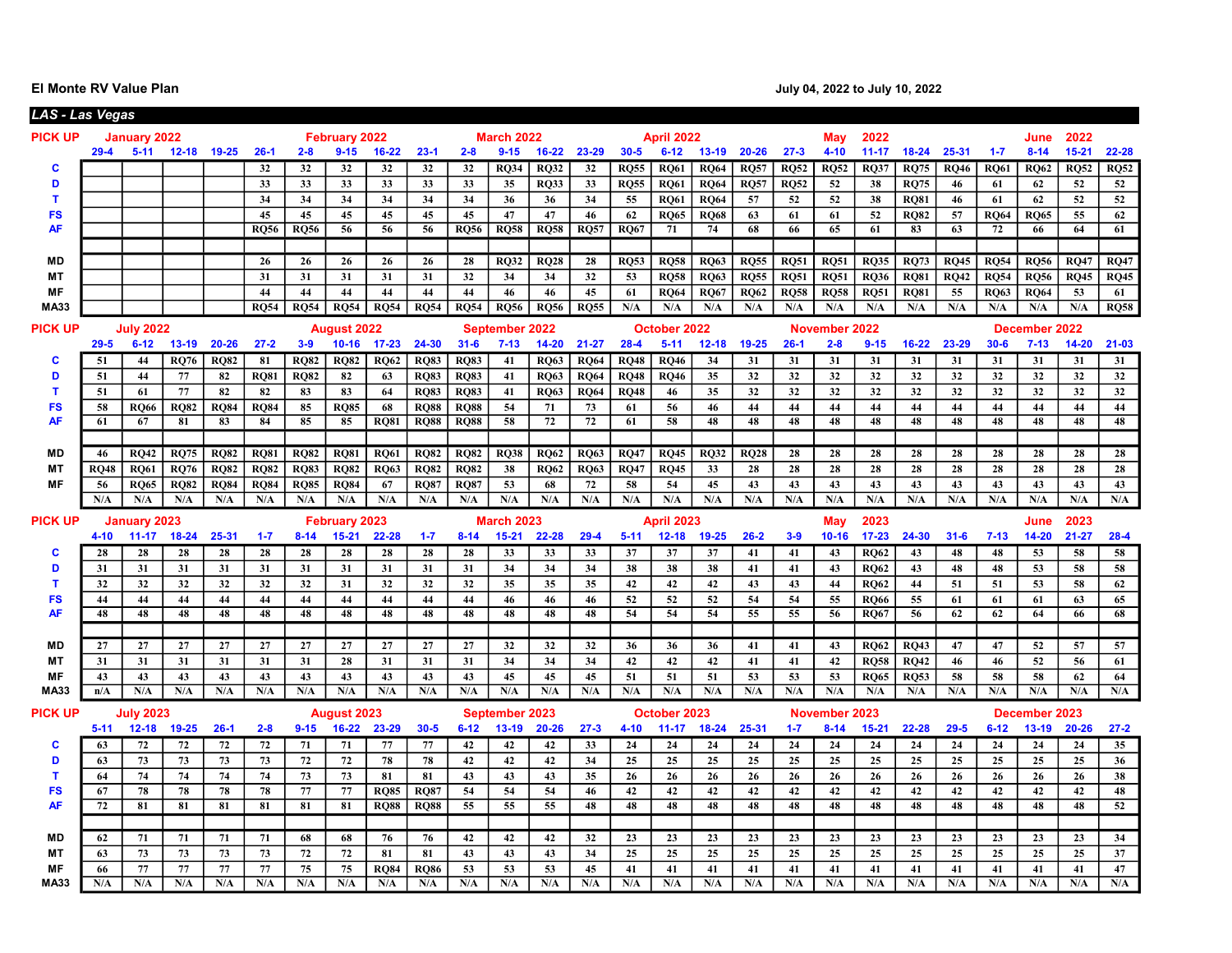El Monte RV Value Plan de la contracte de la contracte de la contracte de la contracte de la contracte de la contracte de la contracte de la contracte de la contracte de la contracte de la contracte de la contracte de la c

| LAS - Las Vegas   |             |                     |                  |             |                 |             |                      |                    |                    |             |                       |             |                  |             |                   |             |                 |             |               |             |             |             |             |               |             |                         |
|-------------------|-------------|---------------------|------------------|-------------|-----------------|-------------|----------------------|--------------------|--------------------|-------------|-----------------------|-------------|------------------|-------------|-------------------|-------------|-----------------|-------------|---------------|-------------|-------------|-------------|-------------|---------------|-------------|-------------------------|
| <b>PICK UP</b>    |             | <b>January 2022</b> |                  |             |                 |             | <b>February 2022</b> |                    |                    |             | <b>March 2022</b>     |             |                  |             | <b>April 2022</b> |             |                 |             | May           | 2022        |             |             |             | June          | 2022        |                         |
|                   | $29 - 4$    |                     | 5-11 12-18 19-25 |             | $26-1$          | $2 - 8$     | $9 - 15$             | $16 - 22$          | $23-1$             | $2 - 8$     | $9 - 15$              | $16 - 22$   | $23 - 29$        | $30 - 5$    | $6 - 12$          | $13 - 19$   | $20 - 26$       | $27 - 3$    | $4 - 10$      | $11 - 17$   | $18 - 24$   | 25-31       | $1 - 7$     | $8 - 14$      | $15 - 21$   | 22-28                   |
| c                 |             |                     |                  |             | 32              | 32          | 32                   | 32                 | 32                 | 32          | <b>RO34</b>           | <b>RO32</b> | 32               | <b>RO55</b> | <b>RO61</b>       | <b>RO64</b> | <b>RO57</b>     | <b>RO52</b> | <b>RO52</b>   | <b>RO37</b> | <b>RO75</b> | <b>RO46</b> | <b>RO61</b> | <b>RO62</b>   | <b>RQ52</b> | <b>RQ52</b>             |
| D                 |             |                     |                  |             | 33              | 33          | 33                   | 33                 | 33                 | 33          | 35                    | <b>RQ33</b> | 33               | <b>RQ55</b> | <b>RQ61</b>       | <b>RQ64</b> | <b>RQ57</b>     | <b>RQ52</b> | 52            | 38          | <b>RO75</b> | 46          | 61          | 62            | 52          | 52                      |
| $\mathbf{T}$      |             |                     |                  |             | 34              | 34          | 34                   | 34                 | 34                 | 34          | 36                    | 36          | 34               | 55          | <b>RQ61</b>       | <b>RQ64</b> | 57              | 52          | 52            | 38          | <b>RQ81</b> | 46          | 61          | 62            | 52          | 52                      |
| <b>FS</b>         |             |                     |                  |             | 45              | 45          | 45                   | 45                 | 45                 | 45          | 47                    | 47          | 46               | 62          | <b>RQ65</b>       | <b>RQ68</b> | 63              | 61          | 61            | 52          | <b>RQ82</b> | 57          | <b>RQ64</b> | <b>RQ65</b>   | 55          | 62                      |
| <b>AF</b>         |             |                     |                  |             | <b>RO56</b>     | <b>RO56</b> | 56                   | 56                 | 56                 | <b>RO56</b> | <b>RO58</b>           | <b>RO58</b> | R <sub>057</sub> | RO67        | 71                | 74          | 68              | 66          | 65            | 61          | 83          | 63          | 72          | 66            | 64          | 61                      |
|                   |             |                     |                  |             |                 |             |                      |                    |                    |             |                       |             |                  |             |                   |             |                 |             |               |             |             |             |             |               |             |                         |
| MD                |             |                     |                  |             | 26              | 26          | 26                   | 26                 | 26                 | 28          | <b>RO32</b>           | <b>RO28</b> | 28               | <b>RQ53</b> | <b>RO58</b>       | <b>RQ63</b> | <b>RQ55</b>     | <b>RO51</b> | <b>RQ51</b>   | <b>RO35</b> | <b>RO73</b> | <b>RQ45</b> | <b>RO54</b> | <b>RO56</b>   | <b>RQ47</b> | <b>RO47</b>             |
| <b>MT</b>         |             |                     |                  |             | 31              | 31          | 31                   | 31                 | 31                 | 32          | 34                    | 34          | 32               | 53          | <b>RQ58</b>       | <b>RQ63</b> | <b>RQ55</b>     | <b>RQ51</b> | <b>RQ51</b>   | <b>RQ36</b> | <b>RQ81</b> | <b>RQ42</b> | <b>RQ54</b> | <b>RQ56</b>   | <b>RQ45</b> | RQ45                    |
| MF                |             |                     |                  |             | 44              | 44          | 44                   | 44                 | 44                 | 44          | 46                    | 46          | 45               | 61          | <b>RO64</b>       | <b>RO67</b> | <b>RQ62</b>     | <b>RQ58</b> | <b>RQ58</b>   | <b>RQ51</b> | <b>RQ81</b> | 55          | <b>RQ63</b> | <b>RQ64</b>   | 53          | 61                      |
| <b>MA33</b>       |             |                     |                  |             | <b>RO54</b>     | <b>RO54</b> | <b>RO54</b>          | <b>RO54</b>        | <b>RO54</b>        | <b>RO54</b> | <b>RO56</b>           | <b>RO56</b> | <b>RO55</b>      | N/A         | N/A               | N/A         | N/A             | N/A         | N/A           | N/A         | N/A         | N/A         | N/A         | N/A           | N/A         | R <sub>058</sub>        |
| <b>PICK UP</b>    |             | <b>July 2022</b>    |                  |             |                 |             | <b>August 2022</b>   |                    |                    |             | <b>September 2022</b> |             |                  |             | October 2022      |             |                 |             | November 2022 |             |             |             |             | December 2022 |             |                         |
|                   | $29 - 5$    | $6 - 12$            | $13-19$          | $20 - 26$   | $27 - 2$        | $3-9$       | $10 - 16$            | $17 - 23$          | 24-30              | $31 - 6$    | $7 - 13$              | 14-20       | $21 - 27$        | $28 - 4$    | $5 - 11$          | $12 - 18$   | $19 - 25$       | $26 - 1$    | $2 - 8$       | $9 - 15$    | $16 - 22$   | 23-29       | $30 - 6$    | $7 - 13$      | $14 - 20$   | $21 - 03$               |
| С                 | 51          | 44                  | <b>RQ76</b>      | <b>RO82</b> | 81              | <b>RO82</b> | <b>RO82</b>          | <b>RO62</b>        | <b>RO83</b>        | <b>RO83</b> | 41                    | <b>RO63</b> | <b>RO64</b>      | <b>RQ48</b> | <b>RO46</b>       | 34          | 31              | 31          | 31            | 31          | 31          | 31          | 31          | 31            | 31          | 31                      |
| D                 | 51          | 44                  | 77               | 82          | <b>RO81</b>     | <b>RQ82</b> | 82                   | 63                 | <b>RQ83</b>        | <b>RQ83</b> | 41                    | <b>RO63</b> | <b>RQ64</b>      | <b>RQ48</b> | <b>RO46</b>       | 35          | 32              | 32          | 32            | 32          | 32          | 32          | 32          | 32            | 32          | 32                      |
| T                 | 51          | 61                  | 77               | 82          | 82              | 83          | 83                   | 64                 | <b>RQ83</b>        | <b>RQ83</b> | 41                    | <b>RO63</b> | <b>RQ64</b>      | <b>RQ48</b> | 46                | 35          | 32              | 32          | 32            | 32          | 32          | 32          | 32          | 32            | 32          | 32                      |
| <b>FS</b>         | 58          | RO66                | <b>RO82</b>      | <b>RO84</b> | <b>RO84</b>     | 85          | <b>RO85</b>          | 68                 | <b>RO88</b>        | <b>RO88</b> | 54                    | 71          | 73               | 61          | 56                | 46          | 44              | 44          | 44            | 44          | 44          | 44          | 44          | 44            | 44          | 44                      |
| <b>AF</b>         | 61          | 67                  | 81               | 83          | 84              | 85          | 85                   | <b>RO81</b>        | <b>RO88</b>        | <b>RO88</b> | 58                    | 72          | 72               | 61          | 58                | 48          | 48              | 48          | 48            | 48          | 48          | 48          | 48          | 48            | 48          | 48                      |
|                   |             |                     |                  |             |                 |             |                      |                    |                    |             |                       |             |                  |             |                   |             |                 |             |               |             |             |             |             |               |             |                         |
| MD                | 46          | <b>RO42</b>         | <b>RO75</b>      | <b>RO82</b> | <b>RO81</b>     | <b>RO82</b> | <b>RO81</b>          | <b>RO61</b>        | <b>RO82</b>        | <b>RO82</b> | <b>RO38</b>           | <b>RO62</b> | <b>RO63</b>      | <b>RO47</b> | <b>RO45</b>       | <b>RO32</b> | <b>RO28</b>     | 28          | 28            | 28          | 28          | 28          | 28          | 28            | 28          | 28                      |
| <b>MT</b>         | <b>RO48</b> | <b>RO61</b>         | <b>RO76</b>      | <b>RO82</b> | <b>RO82</b>     | <b>RO83</b> | <b>RO82</b>          | <b>RO63</b>        | <b>RO82</b>        | <b>RO82</b> | 38                    | <b>RO62</b> | <b>RO63</b>      | <b>RO47</b> | <b>RO45</b>       | 33          | 28              | 28          | 28            | 28          | 28          | 28          | 28          | 28            | 28          | 28                      |
| <b>MF</b>         | 56          | <b>RO65</b>         | <b>RO82</b>      | <b>RO84</b> | <b>RO84</b>     | <b>RO85</b> | <b>RO84</b>          | 67                 | <b>RO87</b>        | <b>RO87</b> | 53                    | 68          | 72               | 58          | 54                | 45          | 43              | 43          | 43            | 43          | 43          | 43          | 43          | 43            | 43          | 43                      |
|                   | N/A         | N/A                 | N/A              | N/A         | N/A             | N/A         | N/A                  | N/A                | N/A                | N/A         | N/A                   | N/A         | N/A              | N/A         | N/A               | N/A         | N/A             | N/A         | N/A           | N/A         | N/A         | N/A         | N/A         | N/A           | N/A         | $\mathbf{N}/\mathbf{A}$ |
|                   |             |                     |                  |             |                 |             |                      |                    |                    |             |                       |             |                  |             |                   |             |                 |             |               |             |             |             |             |               |             |                         |
|                   |             |                     |                  |             |                 |             |                      |                    |                    |             |                       |             |                  |             |                   |             |                 |             |               |             |             |             |             |               |             |                         |
| <b>PICK UP</b>    |             | <b>January 2023</b> |                  |             |                 |             | <b>February 2023</b> |                    |                    |             | <b>March 2023</b>     |             |                  |             | <b>April 2023</b> |             |                 |             | May           | 2023        |             |             |             | June          | 2023        |                         |
|                   | $4 - 10$    | $11 - 17$           | $18 - 24$        | 25-31       | $1 - 7$         | $8 - 14$    | $15 - 21$            | 22-28              | $1 - 7$            | $8 - 14$    | $15 - 21$             | 22-28       | $29 - 4$         | $5 - 11$    | $12 - 18$         | $19 - 25$   | $26 - 2$        | $3-9$       | $10 - 16$     | $17 - 23$   | 24-30       | $31 - 6$    | $7 - 13$    | $14 - 20$     | $21 - 27$   | $28 - 4$                |
| c                 | 28          | 28                  | 28               | 28          | 28              | 28          | 28                   | 28                 | 28                 | 28          | 33                    | 33          | 33               | 37          | 37                | 37          | 41              | 41          | 43            | <b>RO62</b> | 43          | 48          | 48          | 53            | 58          | 58                      |
| D                 | 31          | 31                  | 31               | 31          | 31              | 31          | 31                   | 31                 | 31                 | 31          | 34                    | 34          | 34               | 38          | 38                | 38          | 41              | 41          | 43            | <b>RO62</b> | 43          | 48          | 48          | 53            | 58          | 58                      |
| T                 | 32          | 32                  | 32               | 32          | 32              | 32          | 31                   | 32                 | 32                 | 32          | 35                    | 35          | 35               | 42          | 42                | 42          | 43              | 43          | 44            | <b>RO62</b> | 44          | 51          | 51          | 53            | 58          | 62                      |
| <b>FS</b>         | 44          | 44                  | 44               | 44          | 44              | 44          | 44                   | 44                 | 44                 | 44          | 46                    | 46          | 46               | 52          | 52                | 52          | 54              | 54          | 55            | <b>RO66</b> | 55          | 61          | 61          | 61            | 63          | 65                      |
| AF                | 48          | 48                  | 48               | 48          | $\overline{48}$ | 48          | 48                   | $\overline{48}$    | 48                 | 48          | 48                    | 48          | 48               | 54          | 54                | 54          | $\overline{55}$ | 55          | 56            | <b>RO67</b> | 56          | 62          | 62          | 64            | 66          | 68                      |
|                   |             |                     |                  |             |                 |             |                      |                    |                    |             |                       |             |                  |             |                   |             |                 |             |               |             |             |             |             |               |             |                         |
| MD                | 27          | 27                  | 27               | 27          | 27              | 27          | 27                   | 27                 | 27                 | 27          | 32                    | 32          | 32               | 36          | 36                | 36          | 41              | 41          | 43            | <b>RO62</b> | <b>RO43</b> | 47          | 47          | 52            | 57          | 57                      |
| МT                | 31          | 31                  | 31               | 31          | 31              | 31          | 28                   | 31                 | 31                 | 31          | 34                    | 34          | 34               | 42          | 42                | 42          | 41              | 41          | 42            | <b>RO58</b> | <b>RO42</b> | 46          | 46          | 52            | 56          | 61                      |
| MF                | 43          | 43                  | 43               | 43          | 43              | 43          | 43                   | 43                 | 43                 | 43          | 45                    | 45          | 45               | 51          | 51                | 51          | 53              | 53          | 53            | <b>RQ65</b> | <b>RQ53</b> | 58          | 58          | 58            | 62          | 64                      |
| MA33              | n/A         | N/A                 | N/A              | N/A         | N/A             | N/A         | N/A                  | N/A                | N/A                | N/A         | N/A                   | N/A         | N/A              | N/A         | N/A               | N/A         | N/A             | N/A         | N/A           | N/A         | N/A         | N/A         | N/A         | N/A           | N/A         | N/A                     |
| <b>PICK UP</b>    |             | <b>July 2023</b>    |                  |             |                 |             | <b>August 2023</b>   |                    |                    |             | September 2023        |             |                  |             | October 2023      |             |                 |             | November 2023 |             |             |             |             | December 2023 |             |                         |
|                   | $5 - 11$    | $12 - 18$           | 19-25            | $26-1$      | $2 - 8$         | $9 - 15$    | $16 - 22$            | 23-29              | $30 - 5$           | $6 - 12$    | $13 - 19$             | $20 - 26$   | $27 - 3$         | $4 - 10$    | $11 - 17$         | $18 - 24$   | $25 - 31$       | $1 - 7$     | $8 - 14$      | $15 - 21$   | $22 - 28$   | $29 - 5$    | $6 - 12$    | $13 - 19$     | $20 - 26$   | $27 - 2$                |
| c                 | 63          | 72                  | 72               | 72          | 72              | 71          | 71                   | 77                 | 77                 | 42          | 42                    | 42          | $\overline{33}$  | 24          | 24                | 24          | 24              | 24          | 24            | 24          | 24          | 24          | 24          | 24            | 24          | $\overline{35}$         |
| D                 | 63          | 73                  | 73               | 73          | 73              | 72          | 72                   | 78                 | 78                 | 42          | 42                    | 42          | 34               | 25          | 25                | 25          | 25              | 25          | 25            | 25          | 25          | 25          | 25          | 25            | 25          | 36                      |
| T                 | 64          | 74                  | 74               | 74          | 74              | 73          | 73                   | 81                 | 81                 | 43          | 43                    | 43          | 35               | 26          | 26                | 26          | 26              | 26          | 26            | 26          | 26          | 26          | 26          | 26            | 26          | $\overline{38}$         |
| <b>FS</b>         | 67          | 78                  | 78               | 78          | 78              | 77          | 77                   | <b>RQ85</b>        | <b>RQ87</b>        | 54          | 54                    | 54          | 46               | 42          | 42                | 42          | 42              | 42          | 42            | 42          | 42          | 42          | 42          | 42            | 42          | 48                      |
| <b>AF</b>         | 72          | 81                  | 81               | 81          | 81              | 81          | 81                   | <b>RQ88</b>        | <b>RQ88</b>        | 55          | 55                    | 55          | 48               | 48          | 48                | 48          | 48              | 48          | 48            | 48          | 48          | 48          | 48          | 48            | 48          | 52                      |
|                   |             |                     |                  |             |                 |             |                      |                    |                    |             |                       |             |                  |             |                   |             |                 |             |               |             |             |             |             |               |             |                         |
| MD                | 62          | 71                  | 71               | 71          | 71              | 68          | 68                   | 76                 | 76                 | 42          | 42                    | 42          | 32               | 23          | 23                | 23          | 23              | 23          | 23            | 23          | 23          | 23          | 23          | 23            | 23          | 34                      |
| <b>MT</b>         | 63          | 73                  | 73               | 73          | 73              | 72          | 72                   | 81                 | 81                 | 43          | 43                    | 43          | 34               | 25          | 25                | 25          | 25              | 25          | 25            | 25          | 25          | 25          | 25          | 25            | 25          | 37                      |
| МF<br><b>MA33</b> | 66<br>N/A   | 77<br>N/A           | 77<br>N/A        | 77<br>N/A   | 77<br>N/A       | 75<br>N/A   | 75<br>N/A            | <b>RO84</b><br>N/A | <b>RO86</b><br>N/A | 53<br>N/A   | 53<br>N/A             | 53<br>N/A   | 45<br>N/A        | 41<br>N/A   | 41<br>N/A         | 41<br>N/A   | 41<br>N/A       | 41<br>N/A   | 41<br>N/A     | 41<br>N/A   | 41<br>N/A   | 41<br>N/A   | 41<br>N/A   | 41<br>N/A     | 41<br>N/A   | 47<br>N/A               |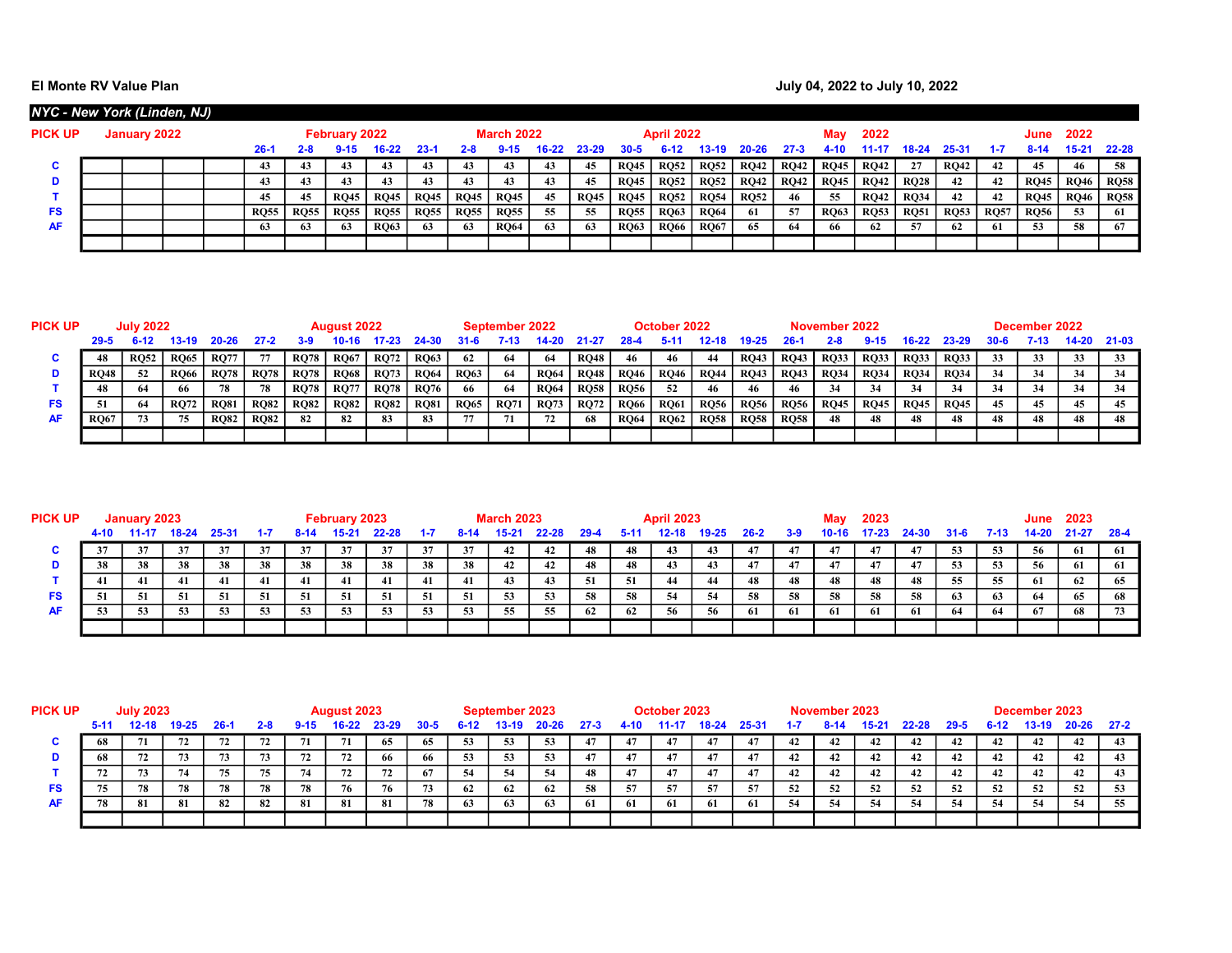| NYC - New York (Linden, NJ) |              |  |             |             |                      |             |             |             |                   |           |             |             |                   |             |             |             |             |             |             |             |             |             |             |             |
|-----------------------------|--------------|--|-------------|-------------|----------------------|-------------|-------------|-------------|-------------------|-----------|-------------|-------------|-------------------|-------------|-------------|-------------|-------------|-------------|-------------|-------------|-------------|-------------|-------------|-------------|
| <b>PICK UP</b>              | January 2022 |  |             |             | <b>February 2022</b> |             |             |             | <b>March 2022</b> |           |             |             | <b>April 2022</b> |             |             |             |             | 2022        |             |             |             | June        | 2022        |             |
|                             |              |  | $26 - 1$    | 2-8         |                      | 16-22       | $23-1$      | $2 - 8$     | $9 - 15$          | $16 - 22$ | 23-29       | 30-5        |                   | 13-19       | 20-26       | -27.3       | 4-10        | 1-17        | 18-24       | 25-31       | $1 - 7$     | $8 - 14$    | $15 - 21$   | $22 - 28$   |
| C.                          |              |  |             |             | 43                   | 43          | 43          |             | 43                |           | 45          | <b>RQ45</b> | <b>RQ52</b>       | <b>RQ52</b> | RQ42        | <b>RQ42</b> | <b>RQ45</b> | <b>RQ42</b> | 27          | <b>RQ42</b> | 42          | 45          | 46          | 58          |
| D                           |              |  |             | 43          | 43                   | 43          | 43          |             | 43                |           | -45         | <b>RQ45</b> | <b>RQ52</b>       | <b>RQ52</b> | RQ42        | <b>RQ42</b> | <b>RQ45</b> | <b>RQ42</b> | <b>RQ28</b> | 42          | 42          | <b>RO45</b> | <b>RQ46</b> | RQ58        |
|                             |              |  |             | 45          | <b>RO45</b>          | <b>RQ45</b> | <b>RQ45</b> | <b>RQ45</b> | <b>RQ45</b>       | 45        | <b>RQ45</b> | <b>RQ45</b> | <b>RQ52</b>       | <b>RQ54</b> | <b>RQ52</b> | 46          | -55         | <b>RQ42</b> | <b>RQ34</b> | 42          | 42          | <b>RQ45</b> | <b>RQ46</b> | <b>RQ58</b> |
| <b>FS</b>                   |              |  | <b>RO55</b> | <b>RQ55</b> | <b>RQ55</b>          | <b>RQ55</b> | <b>RQ55</b> | <b>RQ55</b> | <b>RQ55</b>       | 55        | -55         | <b>RQ55</b> | <b>RQ63</b>       | <b>RQ64</b> | 61          | 57          | <b>RQ63</b> | <b>RQ53</b> | <b>RQ51</b> | <b>RQ53</b> | <b>RQ57</b> | <b>RQ56</b> | 53          | 61          |
| <b>AF</b>                   |              |  |             | 63          | 63                   | <b>RO63</b> | 63          | 63          | <b>RQ64</b>       | 63        | -63         | <b>RQ63</b> | <b>RQ66</b>       | <b>RQ67</b> | 65          | -64         | 66          | 62          | -57         | -62         | 61          | 53          | 58          | 67          |
|                             |              |  |             |             |                      |             |             |             |                   |           |             |             |                   |             |             |             |             |             |             |             |             |             |             |             |

| PICK UP |             | <b>July 2022</b> |             |             |             |             | <b>August 2022</b> |             |             |             | September 2022 |             |             |             | October 2022 |             |             |             | November 2022 |             |             |             |      | December 2022 |     |             |
|---------|-------------|------------------|-------------|-------------|-------------|-------------|--------------------|-------------|-------------|-------------|----------------|-------------|-------------|-------------|--------------|-------------|-------------|-------------|---------------|-------------|-------------|-------------|------|---------------|-----|-------------|
|         | $29 - 5$    |                  | 13-19       | $20 - 26$   |             | 3.9         |                    |             |             | 31-6        | 7-13           |             |             |             |              |             |             |             |               |             | 16.22       | 23-29       | 30-6 | 7-13          |     | 14-20 21-03 |
|         | 48          | <b>RO52</b>      | <b>RO65</b> | <b>RQ77</b> |             | <b>RQ78</b> | <b>RQ67</b>        | <b>RQ72</b> | <b>RQ63</b> | 62          | -64            | -64         | <b>RO48</b> | 46          | -46          | -44         | <b>RO43</b> | <b>RQ43</b> | <b>RQ33</b>   | <b>RQ33</b> | <b>RQ33</b> | <b>RQ33</b> | 33   | 33            | 33  | 33          |
|         | <b>RO48</b> | 52               | <b>RQ66</b> | <b>RQ78</b> | <b>RQ78</b> | <b>RQ78</b> | <b>RQ68</b>        | <b>RQ73</b> | <b>RQ64</b> | <b>RQ63</b> | 64             | <b>RQ64</b> | <b>RQ48</b> | <b>RQ46</b> | <b>RQ46</b>  | <b>RQ44</b> | <b>RQ43</b> | <b>RQ43</b> | <b>RQ34</b>   | <b>RQ34</b> | <b>RQ34</b> | <b>RO34</b> |      | 34            |     |             |
|         |             |                  | -66         | 78          | 78          | <b>RQ78</b> | <b>RQ77</b>        | <b>RQ78</b> | <b>RQ76</b> | 66          | -64            | <b>RQ64</b> | <b>RQ58</b> | <b>RQ56</b> | 52           | 46          |             | -46         | 34            | 34          | -34         | 34          | -34  | 34            | -34 | 34          |
| FS      |             |                  | <b>RQ72</b> | <b>RQ81</b> | <b>RQ82</b> | <b>RQ82</b> | <b>RQ82</b>        | <b>RQ82</b> | <b>RQ81</b> | <b>RQ65</b> | <b>RQ71</b>    | <b>RQ73</b> | <b>RQ72</b> | <b>RQ66</b> | <b>RQ61</b>  | <b>RQ56</b> | <b>RQ56</b> | <b>RQ56</b> | <b>RQ45</b>   | <b>RQ45</b> | <b>RQ45</b> | <b>RQ45</b> | 45   | 45            |     | 45          |
| AF      | <b>RO67</b> |                  | 75          | <b>RQ82</b> | <b>RQ82</b> | 82          | 82                 | 83          |             |             | 71             |             | 68          | <b>RQ64</b> | <b>RQ62</b>  | <b>RQ58</b> | <b>RQ58</b> | <b>RQ58</b> | 48            | 48          |             | 48          |      | 48            |     | 48          |
|         |             |                  |             |             |             |             |                    |             |             |             |                |             |             |             |              |             |             |             |               |             |             |             |      |               |     |             |

| <b>PICK UP</b> |      | January 2023 |       |       |     |      | February 2023 |       |     |              | <b>March 2023</b> |       |      |      | <b>April 2023</b> |       |      |     | May   | 2023 |       |          |       | June  | 2023      |        |
|----------------|------|--------------|-------|-------|-----|------|---------------|-------|-----|--------------|-------------------|-------|------|------|-------------------|-------|------|-----|-------|------|-------|----------|-------|-------|-----------|--------|
|                | 4-10 |              | 18-24 | 25-31 |     | 8-14 | 15.2          | 22-28 |     | 8-1 <i>8</i> | 15-21             | 22-28 | 29-4 | 5-11 | 12.1)             | 19-25 | 26-2 | 3-9 | 10-16 |      | 24-30 | $31 - 6$ | 7-13. | 14-20 | $21 - 27$ | - 28-4 |
|                |      | 31           | 37    | 37    | 37  | 37   | 37            | 37    | 37  | 37           | 42                | 42    | 48   | 48   | 43                | 43    | -47  |     | 47    |      | 47    | 53       | 53    | 56    | 61        | 61     |
|                | 38   | 38           | 38    | 38    | 38  | 38   | 38            | 38    | 38  | 38           | 42                | 42    | 48   | 48   | 43                | 43    | 47   | 47  | 47    | 47   | 47    | 53       | 53    | 56    | 61        |        |
|                | 41   | 41           | 41    | 41    | 41  | -41  | 41            | 41    | 41  | 41           | 43                | 43    | -51  | -51  | 44                | 44    | 48   | 48  | 48    | 48   | 48    | 55       | 55    | 61    | 62        | 65     |
| FS             | 51   | 51           | -51   |       | -51 | -51  | 51            | 51    | -51 | -51          | 53                | 53    | 58   | 58   | 54                | 54    | 58   | 58  | 58    | 58   | 58    | 63       | 63    | 64    | 65        | 68     |
| <b>AF</b>      |      | 53           | -53   | 53    | 53  | 53   | -53           | 53    | 53  | 53           | 55                | 55    | 62   | 62   | 56                | 56    | 61   | -61 | -61   | 61   | 61    | 64       | 64    | 67    | 68        | 73     |
|                |      |              |       |       |     |      |               |       |     |              |                   |       |      |      |                   |       |      |     |       |      |       |          |       |       |           |        |

| <b>PICK UP</b> |                       | <b>July 2023</b> |           |        |         |          | August 2023 |       |          |        | September 2023 |           |          |      | October 2023 |       |       |     | November 2023 |      |       |          |          | December 2023 |       |          |
|----------------|-----------------------|------------------|-----------|--------|---------|----------|-------------|-------|----------|--------|----------------|-----------|----------|------|--------------|-------|-------|-----|---------------|------|-------|----------|----------|---------------|-------|----------|
|                | $5 - 11$              | 12-18            | $19 - 25$ | $26-1$ | $2 - 8$ | $9 - 15$ | $16 - 22$   | 23-29 | $30 - 5$ | $6-12$ | $13-19$        | $20 - 26$ | $27 - 3$ | 4-10 | $-11-17$     | 18-24 | 25-31 | 1-7 | $8 - 14$      | 5-21 | 22-28 | $29 - 5$ | $6 - 12$ | 13-19         | 20-26 | $27 - 2$ |
| u              | 68                    |                  | 72        | 72     |         | 71       | 71          | 65    | 65       | 53     | 53             | 53        |          | 47   | 47           | 47    |       | 42  | 42            | 42   | 44    | 42       | 42       | 42            | 42    | 43       |
|                | 68                    | 72               | 73        | 73     | 73      | 72       | 72          | 66    | -66      | 53     | 53             | 53        |          | 47   |              | 47    | 47    | 42  | 42            | 42   | 42    | 42       | 42       | -42           | 42    | -43      |
|                |                       | 73               | 74        | 75     |         | 74       | 72          | 72    | -67      | -54    | 54             | -54       | 48       | 47   | 47           | 47    | -47   | 42  | 42            | 42   | 42    | 42       | 42       | -42           | 42    | -43      |
| FS             |                       | 78               | 78        | 78     | 78      | 78       | 76          | 76    | 73       | - 62   | 62             | 62        | -58      | -57  | 57           | 57    | 57    | -52 | 52            | 52   | 52    | 52       | 52       | 52            | 52    |          |
| <b>AF</b>      | 82<br>78<br>81<br>-81 |                  |           |        | 82      | -81      | 81          | 81    | 78       | -63    | 63             | 63        | -61      | -61  | -61          | -61   | -61   | -54 | 54            | -54  | -54   | 54       | -54      | -54           | -54   | 55       |
|                |                       |                  |           |        |         |          |             |       |          |        |                |           |          |      |              |       |       |     |               |      |       |          |          |               |       |          |
|                |                       |                  |           |        |         |          |             |       |          |        |                |           |          |      |              |       |       |     |               |      |       |          |          |               |       |          |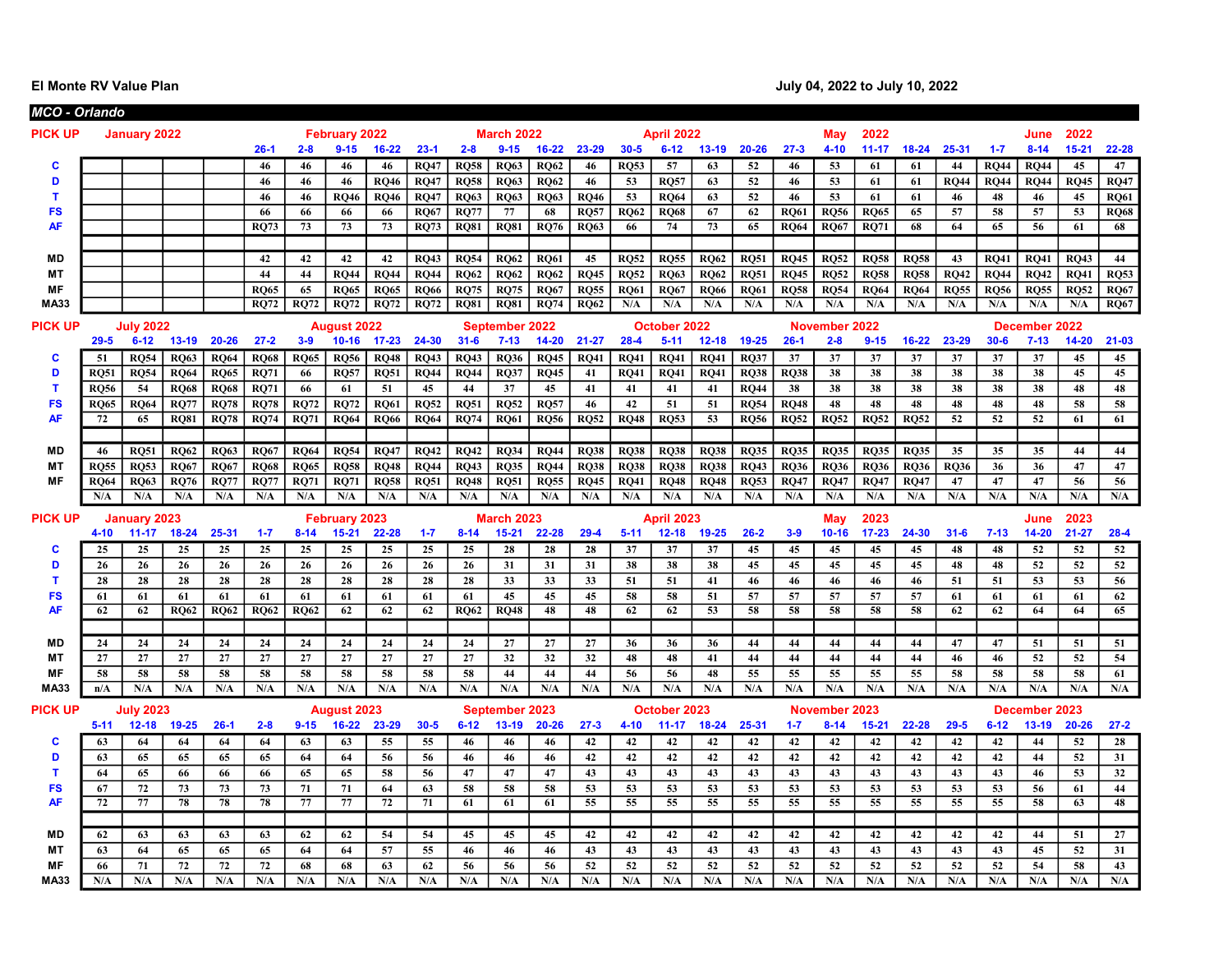|                | <b>MCO - Orlando</b> |                               |                 |             |             |             |                                 |             |             |             |                           |             |                 |             |                           |                 |             |             |                           |                 |             |             |             |                            |             |             |
|----------------|----------------------|-------------------------------|-----------------|-------------|-------------|-------------|---------------------------------|-------------|-------------|-------------|---------------------------|-------------|-----------------|-------------|---------------------------|-----------------|-------------|-------------|---------------------------|-----------------|-------------|-------------|-------------|----------------------------|-------------|-------------|
| <b>PICK UP</b> |                      | <b>January 2022</b>           |                 |             |             |             | February 2022                   |             |             |             | <b>March 2022</b>         |             |                 |             | <b>April 2022</b>         |                 |             |             | May                       | 2022            |             |             |             | June                       | 2022        |             |
|                |                      |                               |                 |             | $26-1$      | $2 - 8$     | $9 - 15$                        | $16 - 22$   | $23-1$      | $2 - 8$     | $9 - 15$                  | $16 - 22$   | 23-29           | $30 - 5$    | $6 - 12$                  | $13 - 19$       | $20 - 26$   | $27 - 3$    | $4 - 10$                  | $11 - 17$       | $18 - 24$   | 25-31       | $1 - 7$     | $8 - 14$                   | $15 - 21$   | 22-28       |
| C              |                      |                               |                 |             | 46          | 46          | 46                              | 46          | <b>RO47</b> | <b>RO58</b> | <b>RO63</b>               | <b>RO62</b> | 46              | <b>RO53</b> | 57                        | 63              | 52          | 46          | 53                        | 61              | 61          | 44          | <b>RO44</b> | <b>RO44</b>                | 45          | 47          |
| D              |                      |                               |                 |             | 46          | 46          | 46                              | <b>RQ46</b> | <b>RQ47</b> | <b>RQ58</b> | <b>RQ63</b>               | <b>RQ62</b> | 46              | 53          | <b>RO57</b>               | 63              | 52          | 46          | 53                        | 61              | 61          | <b>RQ44</b> | <b>RQ44</b> | <b>RQ44</b>                | <b>RQ45</b> | <b>RQ47</b> |
| т              |                      |                               |                 |             | 46          | 46          | <b>RO46</b>                     | <b>RQ46</b> | <b>RQ47</b> | <b>RQ63</b> | <b>RQ63</b>               | <b>RQ63</b> | <b>RQ46</b>     | 53          | <b>RO64</b>               | 63              | 52          | 46          | 53                        | 61              | 61          | 46          | 48          | 46                         | 45          | <b>RQ61</b> |
| <b>FS</b>      |                      |                               |                 |             | 66          | 66          | 66                              | 66          | <b>RO67</b> | <b>RO77</b> | 77                        | 68          | <b>RQ57</b>     | <b>RO62</b> | <b>RO68</b>               | 67              | 62          | <b>RO61</b> | <b>RO56</b>               | <b>RO65</b>     | 65          | 57          | 58          | 57                         | 53          | <b>RO68</b> |
| AF             |                      |                               |                 |             | <b>RO73</b> | 73          | 73                              | 73          | <b>RQ73</b> | <b>RQ81</b> | <b>RO81</b>               | <b>RQ76</b> | <b>RO63</b>     | 66          | 74                        | 73              | 65          | <b>RO64</b> | <b>RQ67</b>               | <b>RQ71</b>     | 68          | 64          | 65          | 56                         | 61          | 68          |
|                |                      |                               |                 |             |             |             |                                 |             |             |             |                           |             |                 |             |                           |                 |             |             |                           |                 |             |             |             |                            |             |             |
| <b>MD</b>      |                      |                               |                 |             | 42          | 42          | 42                              | 42          | <b>RQ43</b> | <b>RQ54</b> | <b>RQ62</b>               | <b>RQ61</b> | 45              | <b>RQ52</b> | <b>RQ55</b>               | <b>RQ62</b>     | <b>RQ51</b> | RQ45        | <b>RQ52</b>               | <b>RQ58</b>     | RQ58        | 43          | RO41        | <b>RQ41</b>                | RQ43        | 44          |
| MT             |                      |                               |                 |             | 44          | 44          | <b>RQ44</b>                     | <b>RQ44</b> | <b>RQ44</b> | <b>RQ62</b> | <b>RQ62</b>               | <b>RQ62</b> | <b>RQ45</b>     | <b>RQ52</b> | <b>RQ63</b>               | <b>RQ62</b>     | <b>RQ51</b> | <b>RQ45</b> | <b>RQ52</b>               | <b>RQ58</b>     | <b>RQ58</b> | <b>RQ42</b> | <b>RQ44</b> | <b>RQ42</b>                | <b>RQ41</b> | RQ53        |
| MF             |                      |                               |                 |             | <b>RQ65</b> | 65          | <b>RQ65</b>                     | <b>RQ65</b> | <b>RQ66</b> | <b>RQ75</b> | <b>RQ75</b>               | <b>RQ67</b> | <b>RQ55</b>     | <b>RQ61</b> | <b>RQ67</b>               | <b>RQ66</b>     | <b>RQ61</b> | <b>RQ58</b> | <b>RQ54</b>               | <b>RQ64</b>     | <b>RQ64</b> | <b>RQ55</b> | <b>RQ56</b> | <b>RQ55</b>                | <b>RQ52</b> | <b>RQ67</b> |
| <b>MA33</b>    |                      |                               |                 |             | <b>RQ72</b> | <b>RQ72</b> | <b>RQ72</b>                     | <b>RQ72</b> | <b>RQ72</b> | <b>RQ81</b> | <b>RQ81</b>               | <b>RQ74</b> | <b>RQ62</b>     | N/A         | N/A                       | N/A             | N/A         | N/A         | N/A                       | N/A             | N/A         | N/A         | N/A         | N/A                        | N/A         | <b>RQ67</b> |
| <b>PICK UP</b> |                      | <b>July 2022</b>              |                 |             |             |             | <b>August 2022</b>              |             |             |             | September 2022            |             |                 |             | October 2022              |                 |             |             | <b>November</b>           | 2022            |             |             |             | December 2022              |             |             |
|                | $29 - 5$             | $6 - 12$                      | $13-19$         | $20 - 26$   | $27 - 2$    | $3 - 9$     | $10 - 16$                       | $17 - 23$   | 24-30       | $31 - 6$    | $7 - 13$                  | $14 - 20$   | $21 - 27$       | $28 - 4$    | $5 - 11$                  | $12 - 18$       | $19 - 25$   | $26-1$      | $2 - 8$                   | $9 - 15$        | $16 - 22$   | 23-29       | $30 - 6$    | $7 - 13$                   | $14 - 20$   | $21 - 03$   |
| C              | 51                   | <b>RO54</b>                   | <b>RQ63</b>     | <b>RO64</b> | <b>RQ68</b> | <b>RO65</b> | <b>RQ56</b>                     | <b>RQ48</b> | <b>RQ43</b> | <b>RO43</b> | <b>RQ36</b>               | <b>RQ45</b> | <b>RQ41</b>     | <b>RO41</b> | <b>RO41</b>               | <b>RO41</b>     | <b>RO37</b> | 37          | 37                        | 37              | 37          | 37          | 37          | 37                         | 45          | 45          |
| D              | <b>RO51</b>          | <b>RQ54</b>                   | <b>RQ64</b>     | <b>RQ65</b> | <b>RQ71</b> | 66          | <b>RQ57</b>                     | <b>RQ51</b> | <b>RQ44</b> | <b>RQ44</b> | <b>RQ37</b>               | <b>RQ45</b> | 41              | <b>RQ41</b> | <b>RQ41</b>               | <b>RQ41</b>     | <b>RQ38</b> | <b>RQ38</b> | 38                        | 38              | 38          | 38          | 38          | 38                         | 45          | 45          |
| т              | <b>RO56</b>          | 54                            | <b>RO68</b>     | <b>RO68</b> | <b>RQ71</b> | 66          | 61                              | 51          | 45          | 44          | 37                        | 45          | 41              | 41          | 41                        | 41              | <b>RO44</b> | 38          | 38                        | 38              | 38          | 38          | 38          | 38                         | 48          | 48          |
| <b>FS</b>      | <b>RO65</b>          | <b>RO64</b>                   | <b>RO77</b>     | <b>RO78</b> | <b>RQ78</b> | <b>RO72</b> | <b>RQ72</b>                     | <b>RQ61</b> | <b>RQ52</b> | <b>RO51</b> | <b>RQ52</b>               | <b>RO57</b> | 46              | 42          | 51                        | 51              | <b>RO54</b> | <b>RO48</b> | 48                        | 48              | 48          | 48          | 48          | 48                         | 58          | 58          |
| <b>AF</b>      | 72                   | 65                            | <b>RO81</b>     | <b>RQ78</b> | <b>RQ74</b> | <b>RQ71</b> | <b>RQ64</b>                     | <b>RQ66</b> | <b>RQ64</b> | <b>RQ74</b> | <b>RQ61</b>               | <b>RO56</b> | <b>RQ52</b>     | <b>RQ48</b> | <b>RO53</b>               | 53              | <b>RO56</b> | <b>RQ52</b> | <b>RQ52</b>               | <b>RQ52</b>     | <b>RQ52</b> | 52          | 52          | 52                         | 61          | 61          |
|                |                      |                               |                 |             |             |             |                                 |             |             |             |                           |             |                 |             |                           |                 |             |             |                           |                 |             |             |             |                            |             |             |
| MD             | 46                   | <b>RO51</b>                   | <b>RO62</b>     | <b>RO63</b> | <b>RO67</b> | <b>RO64</b> | <b>RO54</b>                     | <b>RO47</b> | <b>RO42</b> | <b>RO42</b> | <b>RO34</b>               | <b>RO44</b> | <b>RO38</b>     | <b>RO38</b> | <b>RO38</b>               | <b>RO38</b>     | <b>RO35</b> | <b>RO35</b> | <b>RO35</b>               | <b>RO35</b>     | <b>RO35</b> | 35          | 35          | 35                         | 44          | 44          |
| <b>MT</b>      | <b>RO55</b>          | <b>RO53</b>                   | <b>RQ67</b>     | <b>RQ67</b> | <b>RQ68</b> | <b>RQ65</b> | <b>RQ58</b>                     | <b>RQ48</b> | <b>RQ44</b> | <b>RQ43</b> | <b>RQ35</b>               | <b>RQ44</b> | <b>RQ38</b>     | <b>RQ38</b> | <b>RQ38</b>               | <b>RQ38</b>     | <b>RQ43</b> | <b>RQ36</b> | <b>RQ36</b>               | <b>RQ36</b>     | <b>RQ36</b> | <b>RQ36</b> | 36          | 36                         | 47          | 47          |
| <b>MF</b>      | <b>RQ64</b>          | <b>RQ63</b>                   | <b>RQ76</b>     | <b>RQ77</b> | <b>RQ77</b> | <b>RQ71</b> | <b>RQ71</b>                     | <b>RQ58</b> | <b>RQ51</b> | <b>RQ48</b> | <b>RQ51</b>               | <b>RQ55</b> | <b>RQ45</b>     | <b>RQ41</b> | <b>RQ48</b>               | <b>RQ48</b>     | <b>RQ53</b> | <b>RQ47</b> | <b>RQ47</b>               | <b>RQ47</b>     | <b>RQ47</b> | 47          | 47          | 47                         | 56          | 56          |
|                | N/A                  | N/A                           | N/A             | N/A         | N/A         | N/A         | N/A                             | N/A         | N/A         | N/A         | N/A                       | N/A         | N/A             | N/A         | N/A                       | N/A             | N/A         | N/A         | N/A                       | N/A             | N/A         | N/A         | N/A         | N/A                        | N/A         | N/A         |
| <b>PICK UP</b> |                      | <b>January 2023</b>           |                 |             |             |             | February 2023                   |             |             |             | <b>March 2023</b>         |             |                 |             | <b>April 2023</b>         |                 |             |             | May                       | 2023            |             |             |             | June                       | 2023        |             |
|                | $4 - 10$             | $11 - 17$                     | $18 - 24$       | 25-31       | $1 - 7$     | $8 - 14$    | $15 - 21$                       | 22-28       | $1 - 7$     | $8 - 14$    | $15 - 21$                 | $22 - 28$   | $29 - 4$        | $5 - 11$    | $12 - 18$                 | $19 - 25$       | $26 - 2$    | $3-9$       | $10 - 16$                 | $17 - 23$       | 24-30       | $31 - 6$    | $7 - 13$    | $14 - 20$                  | $21 - 27$   | $28 - 4$    |
| C              | 25                   | 25                            | 25              | 25          | 25          | 25          | 25                              | 25          | 25          | 25          | 28                        | 28          | 28              | 37          | 37                        | 37              | 45          | 45          | 45                        | 45              | 45          | 48          | 48          | 52                         | 52          | 52          |
| D              | 26                   | 26                            | 26              | 26          | 26          | 26          | 26                              | 26          | 26          | 26          | 31                        | 31          | 31              | 38          | 38                        | 38              | 45          | 45          | 45                        | 45              | 45          | 48          | 48          | 52                         | 52          | 52          |
| T              | 28                   | 28                            | 28              | 28          | 28          | 28          | 28                              | 28          | 28          | 28          | 33                        | 33          | 33              | 51          | 51                        | 41              | 46          | 46          | 46                        | 46              | 46          | 51          | 51          | 53                         | 53          | 56          |
| <b>FS</b>      | 61                   | 61                            | 61              | 61          | 61          | 61          | 61                              | 61          | 61          | 61          | 45                        | 45          | 45              | 58          | 58                        | 51              | 57          | 57          | 57                        | 57              | 57          | 61          | 61          | 61                         | 61          | 62          |
| <b>AF</b>      | 62                   | 62                            | <b>RQ62</b>     | <b>RO62</b> | <b>RQ62</b> | <b>RQ62</b> | 62                              | 62          | 62          | <b>RO62</b> | RQ48                      | 48          | 48              | 62          | 62                        | $\overline{53}$ | 58          | 58          | 58                        | 58              | 58          | 62          | 62          | 64                         | 64          | 65          |
|                |                      |                               |                 |             |             |             |                                 |             |             |             |                           |             |                 |             |                           |                 |             |             |                           |                 |             |             |             |                            |             |             |
| MD             | 24                   | 24                            | 24              | 24          | 24          | 24          | 24                              | 24          | 24          | 24          | 27                        | 27          | 27              | 36          | 36                        | 36              | 44          | 44          | 44                        | 44              | 44          | 47          | 47          | 51                         | 51          | 51          |
| <b>MT</b>      | 27                   | 27                            | 27              | 27          | 27          | 27          | 27                              | 27          | 27          | 27          | 32                        | 32          | 32              | 48          | 48                        | 41              | 44          | 44          | 44                        | 44              | 44          | 46          | 46          | 52                         | 52          | 54          |
| MF             | 58                   | 58                            | 58              | 58          | 58          | 58          | 58                              | 58          | 58          | 58          | 44                        | 44          | 44              | 56          | 56                        | 48              | 55          | 55          | 55                        | 55              | 55          | 58          | 58          | 58                         | 58          | 61          |
| <b>MA33</b>    |                      |                               |                 |             |             |             |                                 |             |             |             |                           |             |                 |             |                           |                 |             | N/A         | N/A                       | N/A             | N/A         | N/A         | N/A         | N/A                        | N/A         | N/A         |
|                | n/A                  | N/A                           | N/A             | N/A         | N/A         | N/A         | N/A                             | N/A         | N/A         | N/A         | N/A                       | N/A         | N/A             | N/A         | N/A                       | N/A             | N/A         |             |                           |                 |             |             |             |                            |             |             |
|                |                      |                               |                 |             |             |             |                                 |             |             |             |                           |             |                 |             |                           |                 |             |             |                           |                 |             |             |             |                            |             |             |
| <b>PICK UP</b> | $5 - 11$             | <b>July 2023</b><br>$12 - 18$ |                 | $26-1$      | $2 - 8$     | $9 - 15$    | <b>August 2023</b><br>$16 - 22$ | 23-29       | $30 - 5$    | $6 - 12$    | September 2023<br>$13-19$ | $20 - 26$   | $27 - 3$        | $4 - 10$    | October 2023<br>$11 - 17$ | $18 - 24$       | 25-31       | $1 - 7$     | November 2023<br>$8 - 14$ | $15 - 21$       | $22 - 28$   | $29 - 5$    | $6 - 12$    | December 2023<br>$13 - 19$ | $20 - 26$   | $27 - 2$    |
| C              | 63                   | 64                            | $19 - 25$<br>64 | 64          | 64          | 63          | 63                              | 55          | 55          | 46          | 46                        | 46          | 42              | 42          | 42                        | 42              | 42          | 42          | 42                        | 42              | 42          | 42          | 42          |                            |             |             |
| D              | 63                   | 65                            | 65              | 65          | 65          | 64          | 64                              | 56          | 56          | 46          | 46                        | 46          | 42              | 42          | 42                        | 42              | 42          | 42          | 42                        | 42              |             | 42          | 42          | 44<br>44                   | 52          | 28<br>31    |
| T              | 64                   | 65                            | 66              | 66          | 66          | 65          | 65                              | 58          | 56          | 47          | 47                        | 47          | 43              | 43          | 43                        | 43              | 43          | 43          | 43                        | 43              | 42<br>43    | 43          | 43          | 46                         | 52<br>53    | 32          |
| <b>FS</b>      | 67                   | 72                            | 73              | 73          | 73          | 71          | 71                              | 64          | 63          | 58          | 58                        | 58          | 53              | 53          | 53                        | 53              | 53          | 53          | 53                        | 53              | 53          | 53          | 53          | 56                         | 61          | 44          |
| <b>AF</b>      | 72                   | 77                            | 78              | 78          | 78          | 77          | 77                              | 72          | 71          | 61          | 61                        | 61          | $\overline{55}$ | 55          | 55                        | 55              | 55          | 55          | 55                        | $\overline{55}$ | 55          | 55          | 55          | 58                         | 63          | 48          |
|                |                      |                               |                 |             |             |             |                                 |             |             |             |                           |             |                 |             |                           |                 |             |             |                           |                 |             |             |             |                            |             |             |
| <b>MD</b>      | 62                   | 63                            | 63              | 63          | 63          | 62          | 62                              | 54          | 54          | 45          | 45                        | 45          | 42              | 42          | 42                        | 42              | 42          | 42          | 42                        | 42              | 42          | 42          | 42          | 44                         | 51          | 27          |
| <b>MT</b>      | 63                   | 64                            | 65              | 65          | 65          | 64          | 64                              | 57          | 55          | 46          | 46                        | 46          | 43              | 43          | 43                        | 43              | 43          | 43          | 43                        | 43              | 43          | 43          | 43          | 45                         | 52          | 31          |
| <b>MF</b>      | 66                   | 71                            | 72              | 72          | 72          | 68          | 68                              | 63          | 62          | 56          | 56                        | 56          | 52              | 52          | 52                        | 52              | 52          | 52          | 52                        | 52              | 52          | 52          | 52          | 54                         | 58          | 43          |
| <b>MA33</b>    | N/A                  | N/A                           | N/A             | N/A         | N/A         | N/A         | N/A                             | N/A         | N/A         | N/A         | N/A                       | N/A         | N/A             | N/A         | N/A                       | N/A             | N/A         | N/A         | N/A                       | N/A             | N/A         | N/A         | N/A         | N/A                        | N/A         | N/A         |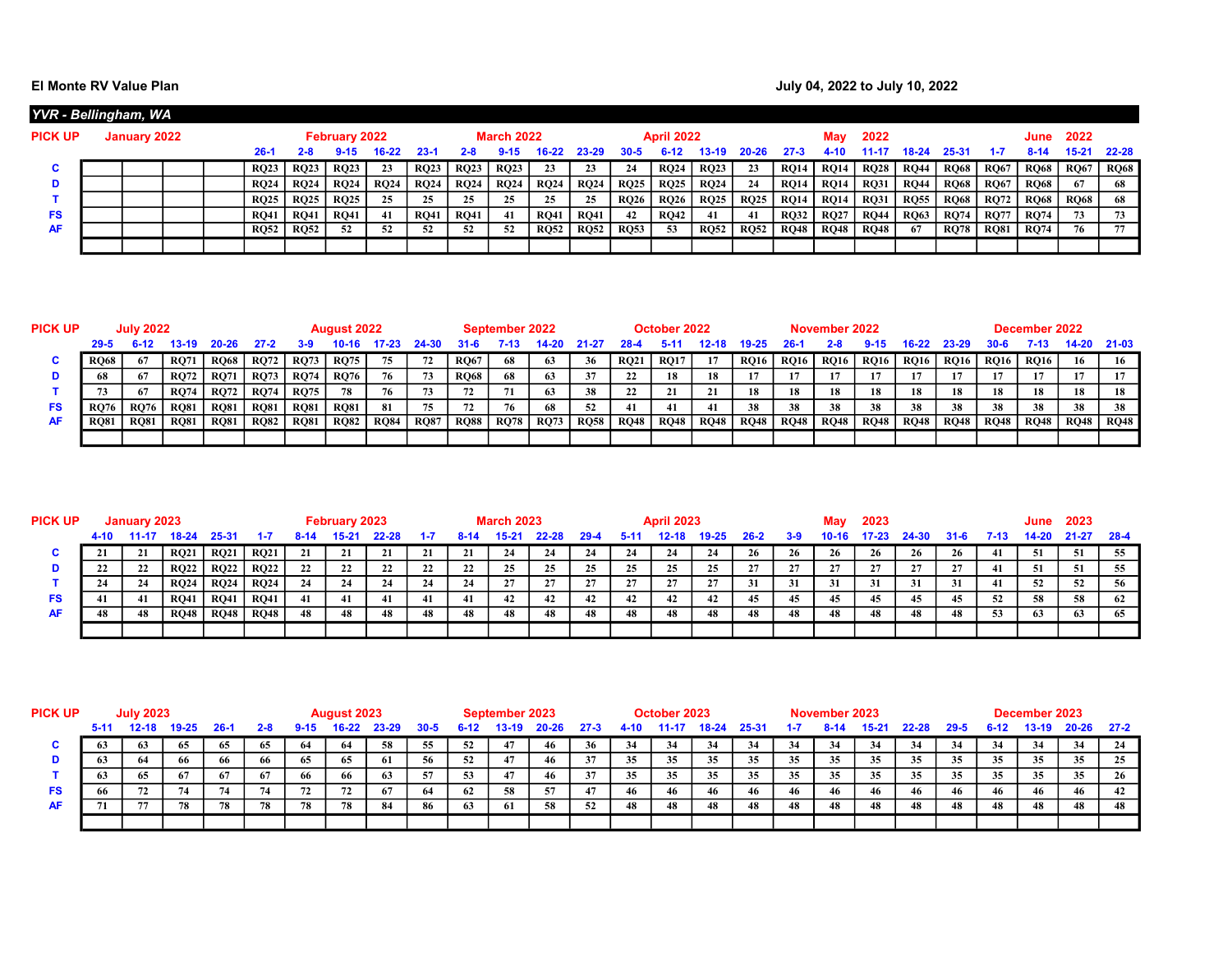## El Monte RV Value Plan de la contracte de la contracte de la contracte de la contracte de la contracte de la contracte de la contracte de la contracte de la contracte de la contracte de la contracte de la contracte de la c

|           | YVR - Bellingham, WA |  |             |             |                      |             |             |             |                   |             |             |             |                   |             |             |             |             |             |             |              |             |             |             |             |
|-----------|----------------------|--|-------------|-------------|----------------------|-------------|-------------|-------------|-------------------|-------------|-------------|-------------|-------------------|-------------|-------------|-------------|-------------|-------------|-------------|--------------|-------------|-------------|-------------|-------------|
| PICK UP   | January 2022         |  |             |             | <b>February 2022</b> |             |             |             | <b>March 2022</b> |             |             |             | <b>April 2022</b> |             |             |             | Mav         | 2022        |             |              |             | June        | 2022        |             |
|           |                      |  | ′-26        | 2-8         |                      | 16-22       | $23 - 1$    | 2-8         |                   |             | 23-29       | 30-5        |                   | 13-19       | 20-26       | 27.3        | 4-10        | 1-11        | 18-24       | 25-31        |             | $8 - 14$    | $15 - 21$   | 22-28       |
| u         |                      |  | <b>RO23</b> | <b>RQ23</b> | <b>RQ23</b>          | 23          | <b>RQ23</b> | <b>RO23</b> | <b>RQ23</b>       | 23          | 23          | 24          | <b>RO24</b>       | <b>RQ23</b> | 23          | <b>RO14</b> | <b>RQ14</b> | <b>RQ28</b> | <b>RO44</b> | <b>RQ68</b>  | <b>RQ67</b> | <b>RO68</b> | <b>RQ67</b> | <b>RQ68</b> |
| D         |                      |  | RO24        | <b>RQ24</b> | <b>RQ24</b>          | <b>RO24</b> | <b>RO24</b> | <b>RQ24</b> | <b>RQ24</b>       | <b>RQ24</b> | <b>RQ24</b> | <b>RQ25</b> | <b>RQ25</b>       | <b>RQ24</b> | 24          | <b>RO14</b> | <b>RQ14</b> | <b>RQ31</b> | <b>RO44</b> | RQ68         | <b>RO67</b> | <b>RO68</b> | 67          | 68          |
|           |                      |  | RO25        | <b>RQ25</b> | <b>RQ25</b>          | 25          | 25          | 25          | 25                | 25          | 25          | <b>RQ26</b> | <b>RQ26</b>       | <b>RQ25</b> | <b>RQ25</b> | <b>RO14</b> | <b>RQ14</b> | <b>RQ31</b> | <b>RQ55</b> | $\vert$ RQ68 | <b>RO72</b> | <b>RQ68</b> | <b>RQ68</b> | 68          |
| <b>FS</b> |                      |  | RO41        | <b>RQ41</b> | <b>RQ41</b>          | 41          | <b>RQ41</b> | <b>RQ41</b> | 41                | <b>RQ41</b> | <b>RO41</b> | 42          | <b>RO42</b>       | 41          | 41          | <b>RO32</b> | <b>RO27</b> | <b>RO44</b> | <b>RQ63</b> | <b>RQ74</b>  | <b>RO77</b> | <b>RQ74</b> |             | 73          |
| <b>AF</b> |                      |  | <b>RO52</b> | <b>RQ52</b> | 52                   | 52          | 52          | 52          | 52                | <b>RO52</b> | <b>RO52</b> | <b>RO53</b> | 53                | <b>RO52</b> | <b>RO52</b> | <b>RO48</b> | <b>RQ48</b> | <b>RO48</b> | -67         | <b>RO78</b>  | <b>RQ81</b> | <b>RQ74</b> | 76          | 77          |
|           |                      |  |             |             |                      |             |             |             |                   |             |             |             |                   |             |             |             |             |             |             |              |             |             |             |             |

| PICK UP | <b>July 2022</b>  |             |             |             |             |             | <b>August 2022</b> |             |             |             | September 2022 |             |             |             | October 2022 |             |             |             | November 2022 |             |             |             |             | December 2022 |             |             |
|---------|-------------------|-------------|-------------|-------------|-------------|-------------|--------------------|-------------|-------------|-------------|----------------|-------------|-------------|-------------|--------------|-------------|-------------|-------------|---------------|-------------|-------------|-------------|-------------|---------------|-------------|-------------|
|         | $29 - 5$<br>13-19 |             |             |             | 27.2        | 3-9         |                    |             |             |             | 7-13           |             |             |             |              |             |             |             |               |             | 16-22       | 23-29       |             |               | 14-20       | - 21-03     |
|         | <b>RO68</b>       | 67          | <b>RO71</b> | <b>RQ68</b> | <b>RQ72</b> | <b>RQ73</b> | <b>RQ75</b>        | 75          | -72         | <b>RQ67</b> | 68             | 63          | 36          | <b>RQ21</b> | <b>RO17</b>  |             | <b>RQ16</b> | RO16        | <b>RQ16</b>   | <b>RQ16</b> | <b>RQ16</b> | RO16        | <b>RQ16</b> | <b>RQ16</b>   | 16          | 16          |
|         |                   | 67          | <b>RO72</b> | <b>RQ71</b> | <b>RO73</b> | <b>RQ74</b> | <b>RQ76</b>        | 76          |             | <b>RQ68</b> | 68             | 63.         | 37          | 22          | 18           | 18          |             |             |               |             |             |             |             | 17            |             |             |
|         |                   | 67          | <b>RO74</b> | <b>RQ72</b> | <b>RO74</b> | <b>RQ75</b> | 78.                | 76          |             | 72          |                |             | 38          | 22          |              | 21          | 18          | 18          | 18            | 18          | 18          | 18          | 18          | 18            | 18          | 18          |
| FS      | <b>RO76</b>       | <b>RO76</b> | <b>RO81</b> | <b>RQ81</b> | <b>RO81</b> | <b>RQ81</b> | <b>RO81</b>        | 81          | 75.         | 72          | 76             |             |             | 41          | 41           | 41          | 38          | 38          | 38            | 38          | 38          | 38          |             | 38            | 38          | 38          |
|         | <b>RO81</b>       | <b>RO81</b> | <b>RQ81</b> | <b>RQ81</b> | <b>RQ82</b> | <b>RQ81</b> | <b>RQ82</b>        | <b>RQ84</b> | <b>RQ87</b> | <b>RQ88</b> | <b>RQ78</b>    | <b>RQ73</b> | <b>RQ58</b> | <b>RQ48</b> | <b>RQ48</b>  | <b>RQ48</b> | <b>RQ48</b> | <b>RQ48</b> | <b>RQ48</b>   | <b>RQ48</b> | <b>RO48</b> | <b>RQ48</b> | <b>RO48</b> | <b>RQ48</b>   | <b>RQ48</b> | <b>RQ48</b> |
|         |                   |             |             |             |             |             |                    |             |             |             |                |             |             |             |              |             |             |             |               |             |             |             |             |               |             |             |

| <b>PICK UP</b> | January 2023 |     |             |             |             |    | February 2023 |       |     |    | <b>March 2023</b> |       |      |     | <b>April 2023</b> |       |      |       | Mav       | 2023    |       |          |      | June  | 2023      |        |
|----------------|--------------|-----|-------------|-------------|-------------|----|---------------|-------|-----|----|-------------------|-------|------|-----|-------------------|-------|------|-------|-----------|---------|-------|----------|------|-------|-----------|--------|
|                | 4-10         |     | $18-24$     | 25-31       | $1-7$       |    | 15-21         | 22-28 | 1.7 |    | $15 - 21$         | 22-28 | 29-4 |     | 12-18             | 19-25 | 26-2 | $3-9$ | $10 - 16$ | $17-23$ | 24-30 | $31 - 6$ | 7-13 | 14-20 | $21 - 27$ | - 28-4 |
|                |              | 21  | <b>RQ21</b> | <b>RQ21</b> | <b>RQ21</b> | 21 | 21            | 21    | 21  | 21 | 24                | 24    | -24  | -24 | 24                |       | 26   | 26    | 26        | 26      | -26   | 26       |      | 51    | 51        | 55     |
|                |              | 22  | <b>RQ22</b> | <b>RQ22</b> | <b>RO22</b> | 22 | 22            | 22    |     | 22 | 25                |       |      | 25  | 25                | 25    |      | 27    | 27        |         |       | 27       |      | 51    | -51       | 55     |
|                |              | 24  | <b>RQ24</b> | <b>RQ24</b> | <b>RQ24</b> | 24 | -24           | 24    |     | 24 | 27                |       |      | 27  |                   | 27    | 31   | 31    | 31        | 31      | 31    | 31       |      | 52    | 52        | 56     |
| FS             | 41           | -41 | <b>RQ41</b> | <b>RQ41</b> | <b>RQ41</b> | 41 | 41            | 41    | -41 | 41 | 42                | 42    |      | 42  | 42                |       | -45  | 45    | 45        |         | 45    | 45       | 52   | 58    | 58        | -62    |
| <b>AF</b>      |              | 48  | <b>RQ48</b> | <b>RQ48</b> | <b>RQ48</b> | 48 | 48            | 48    |     | 48 | 48                | 48    | 48   | 48  | 48                | 48    | 48   | 48    | 48        | 48      | 48    | 48       | 53   | 63    | 63        | -65    |
|                |              |     |             |             |             |    |               |       |     |    |                   |       |      |     |                   |       |      |       |           |         |       |          |      |       |           |        |

| <b>PICK UP</b> |          | <b>July 2023</b> |          |       |         |          | August 2023 |       |      |      | September 2023 |           |          |      | October 2023 |       |       |    | November 2023 |                |       |          |        | December 2023 |           |          |
|----------------|----------|------------------|----------|-------|---------|----------|-------------|-------|------|------|----------------|-----------|----------|------|--------------|-------|-------|----|---------------|----------------|-------|----------|--------|---------------|-----------|----------|
|                | $5 - 11$ | 12-18            | 19-25    | -26-1 | $2 - 8$ | $9 - 15$ | $16-22$     | 23-29 | 30-5 | 6-12 | 13-19.         | $20 - 26$ | $27 - 3$ | 4.10 | 11-1         | '8-24 | 25-31 |    |               | 5.2            | 22-28 | $29 - 5$ | $6-12$ | 13-19         | $20 - 26$ | $27 - 2$ |
| u              |          |                  | -65      | 65    | 65      | -64      | 64          | 58    | 55   | 52   | 47             | 46        | 36       | 34   |              | 34    | 34    | 34 | 34            | 3 <sup>i</sup> | -34   | 34       |        | - 34          | 34        | 24       |
|                |          |                  | 66       | 66    | 66.     | 65       | 65          | 61    | -56  | 52   | 47             | 46        |          | 35   | 35           | 35    | 35    | 35 | 35            | 35.<br>ີ       | 35    | 35       | 35     | 35            | 35        | 25       |
|                |          | 65               | 67       | -67   | 67      | 66       | 66          | 63    | -57  | 53   | 47             | 46        |          | 35   | 35           | 35    | 35    | 35 | 35            | 35             | 35    | 35       | 35     | 35            | 35        | 26       |
| <b>FS</b>      |          |                  |          |       |         | 72       | 72          | 67    | 64   | - 62 | 58             |           |          | 46   | 46           | 46    | 46    | 46 | 46            | 46             |       | 46       | 46     |               | 46        | 42       |
| <b>AF</b>      |          |                  | 78<br>78 |       |         | 78       | 78          | 84    | 86   | 63   | -61            | 58        | 52       | 48   | 48           | 48    | 48    | 48 | 48            | 48             |       | 48       | 48     |               |           | 48       |
|                |          |                  |          |       |         |          |             |       |      |      |                |           |          |      |              |       |       |    |               |                |       |          |        |               |           |          |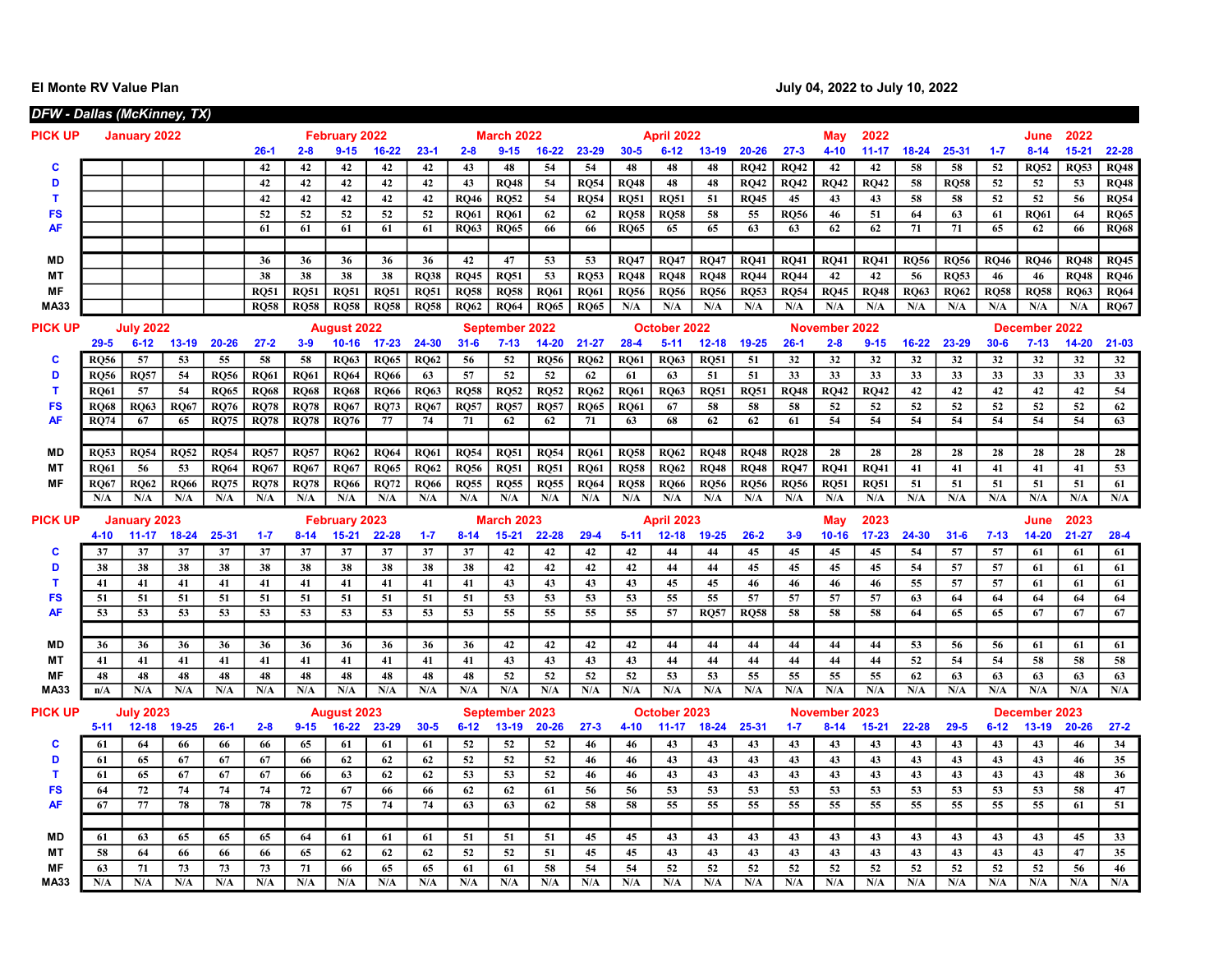El Monte RV Value Plan **Intervention Contract Contract Contract Contract Contract Contract Contract Contract Contract Contract Contract Contract Contract Contract Contract Contract Contract Contract Contract Contract Contr** 

|                        | DFW - Dallas (McKinney, TX)          |                     |                   |                            |                            |                            |                            |                            |                            |                            |                            |                            |                            |                            |                            |                            |                            |                            |                   |                   |                   |                            |                   |                   |                            |                            |
|------------------------|--------------------------------------|---------------------|-------------------|----------------------------|----------------------------|----------------------------|----------------------------|----------------------------|----------------------------|----------------------------|----------------------------|----------------------------|----------------------------|----------------------------|----------------------------|----------------------------|----------------------------|----------------------------|-------------------|-------------------|-------------------|----------------------------|-------------------|-------------------|----------------------------|----------------------------|
| <b>PICK UP</b>         | January 2022<br><b>February 2022</b> |                     |                   |                            |                            |                            |                            |                            |                            |                            | <b>March 2022</b>          |                            |                            |                            | <b>April 2022</b>          |                            |                            |                            | May               | 2022              |                   |                            |                   | June              | 2022                       |                            |
|                        |                                      |                     |                   |                            | $26-1$                     | $2 - 8$                    | $9 - 15$                   | 16-22                      | $23 - 1$                   | $2 - 8$                    | $9 - 15$                   | $16 - 22$                  | 23-29                      | $30 - 5$                   | $6 - 12$                   | $13 - 19$                  | $20 - 26$                  | $27 - 3$                   | $4 - 10$          | $11 - 17$         | $18 - 24$         | 25-31                      | $1 - 7$           | $8 - 14$          | $15 - 21$                  | 22-28                      |
| c                      |                                      |                     |                   |                            | 42                         | 42                         | 42                         | 42                         | 42                         | 43                         | 48                         | 54                         | 54                         | 48                         | 48                         | 48                         | <b>RQ42</b>                | <b>RQ42</b>                | 42                | 42                | 58                | 58                         | 52                | <b>RQ52</b>       | <b>RQ53</b>                | <b>RQ48</b>                |
| D                      |                                      |                     |                   |                            | 42                         | 42                         | 42                         | 42                         | 42                         | 43                         | <b>RO48</b>                | 54                         | <b>RQ54</b>                | <b>RQ48</b>                | 48                         | 48                         | <b>RO42</b>                | <b>RO42</b>                | <b>RQ42</b>       | <b>RQ42</b>       | 58                | <b>RQ58</b>                | 52                | 52                | 53                         | <b>RQ48</b>                |
| т                      |                                      |                     |                   |                            | 42                         | 42                         | 42                         | 42                         | 42                         | <b>RO46</b>                | <b>RQ52</b>                | 54                         | <b>RO54</b>                | <b>RQ51</b>                | <b>RO51</b>                | 51                         | <b>RO45</b>                | 45                         | 43                | 43                | 58                | 58                         | 52                | 52                | 56                         | <b>RQ54</b>                |
| <b>FS</b>              |                                      |                     |                   |                            | 52                         | 52                         | 52                         | 52                         | 52                         | <b>RO61</b>                | <b>RO61</b>                | 62                         | 62                         | <b>RO58</b>                | <b>RO58</b>                | 58                         | 55                         | <b>RO56</b>                | 46                | 51                | 64                | 63                         | 61                | <b>RO61</b>       | 64                         | <b>RQ65</b>                |
| <b>AF</b>              |                                      |                     |                   |                            | 61                         | 61                         | 61                         | 61                         | 61                         | <b>RO63</b>                | <b>RQ65</b>                | 66                         | 66                         | <b>RQ65</b>                | 65                         | 65                         | 63                         | 63                         | $\overline{62}$   | 62                | 71                | 71                         | 65                | 62                | 66                         | <b>RQ68</b>                |
|                        |                                      |                     |                   |                            |                            |                            |                            |                            |                            |                            |                            |                            |                            |                            |                            |                            |                            |                            |                   |                   |                   |                            |                   |                   |                            |                            |
| <b>MD</b><br><b>MT</b> |                                      |                     |                   |                            | 36<br>38                   | 36                         | 36                         | 36                         | 36                         | 42                         | 47                         | 53<br>53                   | 53                         | <b>RQ47</b>                | <b>RQ47</b>                | <b>RQ47</b>                | <b>RQ41</b>                | <b>RQ41</b>                | <b>RQ41</b>       | <b>RQ41</b>       | <b>RQ56</b>       | <b>RQ56</b>                | <b>RO46</b>       | <b>RQ46</b>       | <b>RO48</b>                | <b>RQ45</b>                |
| MF                     |                                      |                     |                   |                            | <b>RO51</b>                | 38<br><b>RO51</b>          | 38<br><b>RO51</b>          | 38<br><b>RQ51</b>          | <b>RQ38</b><br><b>RQ51</b> | <b>RQ45</b><br><b>RO58</b> | <b>RQ51</b><br><b>RQ58</b> | <b>RQ61</b>                | <b>RQ53</b><br><b>RQ61</b> | <b>RQ48</b><br><b>RQ56</b> | <b>RQ48</b><br><b>RQ56</b> | <b>RQ48</b><br><b>RQ56</b> | <b>RQ44</b><br><b>RQ53</b> | <b>RQ44</b><br><b>RQ54</b> | 42<br><b>RQ45</b> | 42<br><b>RQ48</b> | 56<br><b>RO63</b> | <b>RQ53</b><br><b>RO62</b> | 46<br><b>RQ58</b> | 46<br><b>RQ58</b> | <b>RQ48</b><br><b>RQ63</b> | <b>RQ46</b><br><b>RQ64</b> |
| <b>MA33</b>            |                                      |                     |                   |                            | <b>RQ58</b>                | <b>RQ58</b>                | RQ58                       | <b>RQ58</b>                | <b>RQ58</b>                | <b>RQ62</b>                | <b>RQ64</b>                | <b>RQ65</b>                | <b>RQ65</b>                | N/A                        | N/A                        | N/A                        | N/A                        | N/A                        | N/A               | N/A               | N/A               | N/A                        | N/A               | N/A               | N/A                        | <b>RQ67</b>                |
|                        |                                      |                     |                   |                            |                            |                            |                            |                            |                            |                            |                            |                            |                            |                            |                            |                            |                            |                            |                   |                   |                   |                            |                   |                   |                            |                            |
| <b>PICK UP</b>         |                                      | <b>July 2022</b>    |                   |                            |                            |                            | <b>August 2022</b>         |                            |                            |                            | September 2022             |                            |                            |                            | October 2022               |                            |                            |                            | November 2022     |                   |                   |                            |                   | December 2022     |                            |                            |
|                        | $29 - 5$                             | $6 - 12$            | $13-19$           | $20 - 26$                  | $27 - 2$                   | $3 - 9$                    | $10 - 16$                  | $17 - 23$                  | 24-30                      | $31 - 6$                   | $7 - 13$                   | $14 - 20$                  | $21 - 27$                  | $28 - 4$                   | $5 - 11$                   | $12 - 18$                  | 19-25                      | $26-1$                     | $2 - 8$           | $9 - 15$          | $16 - 22$         | 23-29                      | $30 - 6$          | $7 - 13$          | $14 - 20$                  | $21 - 03$                  |
| C                      | <b>RO56</b>                          | 57                  | 53                | 55                         | 58                         | 58                         | <b>RQ63</b>                | <b>RQ65</b>                | <b>RQ62</b>                | 56                         | 52                         | <b>RQ56</b>                | <b>RQ62</b>                | <b>RQ61</b>                | <b>RQ63</b>                | <b>RQ51</b>                | 51                         | 32                         | 32                | 32                | 32                | 32                         | 32                | 32                | 32                         | 32                         |
| D<br>T                 | <b>RQ56</b>                          | <b>RQ57</b>         | 54                | <b>RQ56</b><br><b>RQ65</b> | <b>RQ61</b>                | <b>RQ61</b>                | <b>RQ64</b>                | <b>RQ66</b>                | 63                         | 57                         | 52                         | 52                         | 62                         | 61                         | 63                         | 51                         | 51                         | 33                         | 33                | 33                | 33<br>42          | 33<br>42                   | 33<br>42          | 33<br>42          | 33<br>42                   | 33<br>54                   |
| <b>FS</b>              | <b>RQ61</b><br><b>RO68</b>           | 57<br><b>RO63</b>   | 54<br><b>RO67</b> | <b>RO76</b>                | <b>RQ68</b><br><b>RO78</b> | <b>RQ68</b><br><b>RO78</b> | <b>RQ68</b><br><b>RO67</b> | <b>RQ66</b><br><b>RO73</b> | <b>RQ63</b><br><b>RO67</b> | <b>RQ58</b><br><b>RO57</b> | <b>RQ52</b><br><b>RO57</b> | <b>RQ52</b><br><b>RO57</b> | <b>RQ62</b><br><b>RO65</b> | <b>RQ61</b><br><b>RO61</b> | <b>RQ63</b><br>67          | <b>RQ51</b><br>58          | <b>RQ51</b><br>58          | <b>RQ48</b><br>58          | <b>RQ42</b><br>52 | <b>RQ42</b><br>52 | 52                | 52                         | 52                | 52                | 52                         | 62                         |
| <b>AF</b>              | <b>RO74</b>                          | 67                  | 65                | <b>RQ75</b>                | $\overline{RQ78}$          | $\overline{RQ78}$          | RO76                       | 77                         | 74                         | 71                         | 62                         | 62                         | $\overline{71}$            | 63                         | 68                         | 62                         | 62                         | 61                         | 54                | 54                | $\overline{54}$   | 54                         | $\overline{54}$   | 54                | $\overline{54}$            | 63                         |
|                        |                                      |                     |                   |                            |                            |                            |                            |                            |                            |                            |                            |                            |                            |                            |                            |                            |                            |                            |                   |                   |                   |                            |                   |                   |                            |                            |
| <b>MD</b>              | <b>RO53</b>                          | <b>RO54</b>         | <b>RO52</b>       | <b>RO54</b>                | <b>RQ57</b>                | <b>RO57</b>                | <b>RO62</b>                | <b>RO64</b>                | <b>RO61</b>                | <b>RO54</b>                | <b>RQ51</b>                | <b>RO54</b>                | <b>RO61</b>                | <b>RQ58</b>                | <b>RO62</b>                | <b>RQ48</b>                | <b>RQ48</b>                | <b>RO28</b>                | 28                | 28                | 28                | 28                         | 28                | 28                | 28                         | 28                         |
| <b>MT</b>              | <b>RO61</b>                          | 56                  | 53                | <b>RO64</b>                | <b>RO67</b>                | <b>RO67</b>                | <b>RO67</b>                | <b>RO65</b>                | <b>RO62</b>                | <b>RO56</b>                | <b>RQ51</b>                | <b>RQ51</b>                | <b>RO61</b>                | <b>RQ58</b>                | <b>RO62</b>                | <b>RO48</b>                | <b>RO48</b>                | <b>RO47</b>                | <b>RO41</b>       | <b>RO41</b>       | 41                | 41                         | 41                | 41                | 41                         | 53                         |
| <b>MF</b>              | <b>RO67</b>                          | <b>RO62</b>         | <b>RO66</b>       | <b>RO75</b>                | <b>RO78</b>                | <b>RO78</b>                | <b>RO66</b>                | <b>RO72</b>                | <b>RO66</b>                | <b>RO55</b>                | <b>RQ55</b>                | <b>RQ55</b>                | <b>RO64</b>                | <b>RQ58</b>                | <b>RO66</b>                | <b>RO56</b>                | <b>RQ56</b>                | <b>RO56</b>                | <b>RO51</b>       | <b>RO51</b>       | 51                | 51                         | 51                | 51                | 51                         | 61                         |
|                        | N/A                                  | N/A                 | N/A               | N/A                        | N/A                        | N/A                        | N/A                        | N/A                        | N/A                        | N/A                        | N/A                        | N/A                        | N/A                        | N/A                        | N/A                        | N/A                        | N/A                        | N/A                        | N/A               | N/A               | N/A               | N/A                        | N/A               | N/A               | N/A                        | N/A                        |
| <b>PICK UP</b>         |                                      | <b>January 2023</b> |                   |                            |                            |                            | <b>February 2023</b>       |                            |                            |                            | <b>March 2023</b>          |                            |                            |                            | April 2023                 |                            |                            |                            | May               | 2023              |                   |                            |                   | June              | 2023                       |                            |
|                        | $4 - 10$                             | $11 - 17$           | $18 - 24$         | 25-31                      | $1 - 7$                    | $8 - 14$                   | $15 - 21$                  | 22-28                      | $1 - 7$                    | $8 - 14$                   | $15 - 21$                  | 22-28                      | $29 - 4$                   | $5 - 11$                   | $12 - 18$                  | $19 - 25$                  | $26 - 2$                   | $3-9$                      | $10 - 16$         | $17 - 23$         | 24-30             | $31 - 6$                   | $7 - 13$          | $14 - 20$         | $21 - 27$                  | $28 - 4$                   |
| C                      | 37                                   | 37                  | 37                | 37                         | 37                         | 37                         | 37                         | 37                         | 37                         | 37                         | 42                         | 42                         | 42                         | 42                         | 44                         | 44                         | 45                         | 45                         | 45                | 45                | 54                | 57                         | 57                | 61                | 61                         | 61                         |
| D                      | 38                                   | 38                  | 38                | 38                         | 38                         | 38                         | 38                         | 38                         | 38                         | 38                         | 42                         | 42                         | 42                         | 42                         | 44                         | 44                         | 45                         | 45                         | 45                | 45                | 54                | 57                         | 57                | 61                | 61                         | 61                         |
| т                      | 41                                   | 41                  | 41                | 41                         | 41                         | 41                         | 41                         | 41                         | 41                         | 41                         | 43                         | 43                         | 43                         | 43                         | 45                         | 45                         | 46                         | 46                         | 46                | 46                | 55                | 57                         | 57                | 61                | 61                         | 61                         |
| <b>FS</b>              | 51                                   | 51                  | 51                | 51                         | 51                         | 51                         | 51                         | 51                         | 51                         | 51                         | 53                         | 53                         | 53                         | 53                         | 55                         | 55                         | 57                         | 57                         | 57                | 57                | 63                | 64                         | 64                | 64                | 64                         | 64                         |
| <b>AF</b>              | 53                                   | 53                  | 53                | 53                         | 53                         | 53                         | 53                         | 53                         | 53                         | 53                         | 55                         | 55                         | 55                         | 55                         | 57                         | <b>RQ57</b>                | <b>RQ58</b>                | 58                         | 58                | 58                | 64                | 65                         | 65                | 67                | 67                         | 67                         |
|                        |                                      |                     |                   |                            |                            |                            |                            |                            |                            |                            |                            |                            |                            |                            |                            |                            |                            |                            |                   |                   |                   |                            |                   |                   |                            |                            |
| <b>MD</b>              | 36                                   | 36                  | 36                | 36                         | 36                         | 36                         | 36                         | 36                         | 36                         | 36                         | 42                         | 42                         | 42                         | 42                         | 44                         | 44                         | 44                         | 44                         | 44                | 44                | 53                | 56                         | 56                | 61                | 61                         | 61                         |
| <b>MT</b>              | 41                                   | 41                  | 41                | 41                         | 41                         | 41                         | 41                         | 41                         | 41                         | 41                         | 43                         | 43                         | 43                         | 43                         | 44                         | 44                         | 44                         | 44                         | 44                | 44                | 52                | 54                         | 54                | 58                | 58                         | 58                         |
| MF                     | 48                                   | 48                  | 48                | 48                         | 48                         | 48                         | 48                         | 48                         | 48                         | 48                         | 52                         | 52                         | 52                         | 52                         | 53                         | 53                         | 55                         | 55                         | 55                | 55                | 62                | 63                         | 63                | 63                | 63                         | 63                         |
| <b>MA33</b>            | n/A                                  | N/A                 | N/A               | N/A                        | N/A                        | N/A                        | N/A                        | N/A                        | N/A                        | N/A                        | N/A                        | N/A                        | N/A                        | N/A                        | N/A                        | N/A                        | N/A                        | N/A                        | N/A               | N/A               | N/A               | N/A                        | N/A               | N/A               | N/A                        | N/A                        |
| PICK UP                |                                      | <b>July 2023</b>    |                   |                            |                            |                            | August 2023                |                            |                            |                            | September 2023             |                            |                            |                            | October 2023               |                            |                            |                            | November 2023     |                   |                   |                            |                   | December 2023     |                            |                            |
|                        | $5 - 11$                             | $12 - 18$           | 19-25             | $26-1$                     | $2 - 8$                    | $9 - 15$                   | $16 - 22$                  | 23-29                      | $30 - 5$                   | $6 - 12$                   | $13-19$                    | $20 - 26$                  | $27 - 3$                   | $4 - 10$                   | $11 - 17$                  | $18 - 24$                  | 25-31                      | $1 - 7$                    | $8 - 14$          | $15 - 21$         | $22 - 28$         | $29 - 5$                   | $6 - 12$          | $13 - 19$         | $20 - 26$                  | $27 - 2$                   |
| c                      | 61                                   | 64                  | 66                | 66                         | 66                         | 65                         | 61                         | 61                         | 61                         | 52                         | 52                         | 52                         | 46                         | 46                         | 43                         | 43                         | 43                         | 43                         | 43                | 43                | 43                | 43                         | 43                | 43                | 46                         | 34                         |
| D                      | 61                                   | 65                  | 67                | 67                         | 67                         | 66                         | 62                         | 62                         | 62                         | 52                         | 52                         | 52                         | 46                         | 46                         | 43                         | 43                         | 43                         | 43                         | 43                | 43                | 43                | 43                         | 43                | 43                | 46                         | 35                         |
| т                      | 61                                   | 65                  | 67                | 67                         | 67                         | 66                         | 63                         | 62                         | 62                         | 53                         | 53                         | 52                         | 46                         | 46                         | 43                         | 43                         | 43                         | 43                         | 43                | 43                | 43                | 43                         | 43                | 43                | 48                         | 36                         |
| <b>FS</b>              | 64                                   | 72                  | 74                | 74                         | 74                         | 72                         | 67                         | 66                         | 66                         | 62                         | 62                         | 61                         | 56                         | 56                         | 53                         | 53                         | 53                         | 53                         | 53                | 53                | 53                | 53                         | 53                | 53                | 58                         | 47                         |
| <b>AF</b>              | 67                                   | 77                  | 78                | 78                         | 78                         | 78                         | 75                         | 74                         | 74                         | 63                         | 63                         | 62                         | 58                         | 58                         | 55                         | 55                         | 55                         | 55                         | 55                | 55                | 55                | 55                         | 55                | 55                | 61                         | 51                         |
| MD                     |                                      |                     |                   | 65                         |                            |                            |                            |                            |                            | 51                         | 51                         | 51                         |                            | 45                         | 43                         | 43                         | 43                         | 43                         | 43                | 43                | 43                | 43                         | 43                | 43                | 45                         | 33                         |
| <b>MT</b>              | 61<br>58                             | 63<br>64            | 65<br>66          | 66                         | 65<br>66                   | 64<br>65                   | 61<br>62                   | 61<br>62                   | 61<br>62                   | 52                         | 52                         | 51                         | 45<br>45                   | 45                         | 43                         | 43                         | 43                         | 43                         | 43                | 43                | 43                | 43                         | 43                | 43                | 47                         | 35                         |
|                        |                                      |                     |                   |                            |                            |                            |                            |                            |                            |                            |                            |                            |                            |                            |                            |                            |                            |                            |                   |                   |                   |                            |                   |                   |                            |                            |
| ΜF                     | 63                                   | 71                  | 73                | 73                         | 73                         | 71                         | 66                         | 65                         | 65                         | 61                         | 61                         | 58                         | 54                         | 54                         | 52                         | 52                         | 52                         | 52                         | 52                | 52                | 52                | 52                         | 52                | 52                | 56                         | 46                         |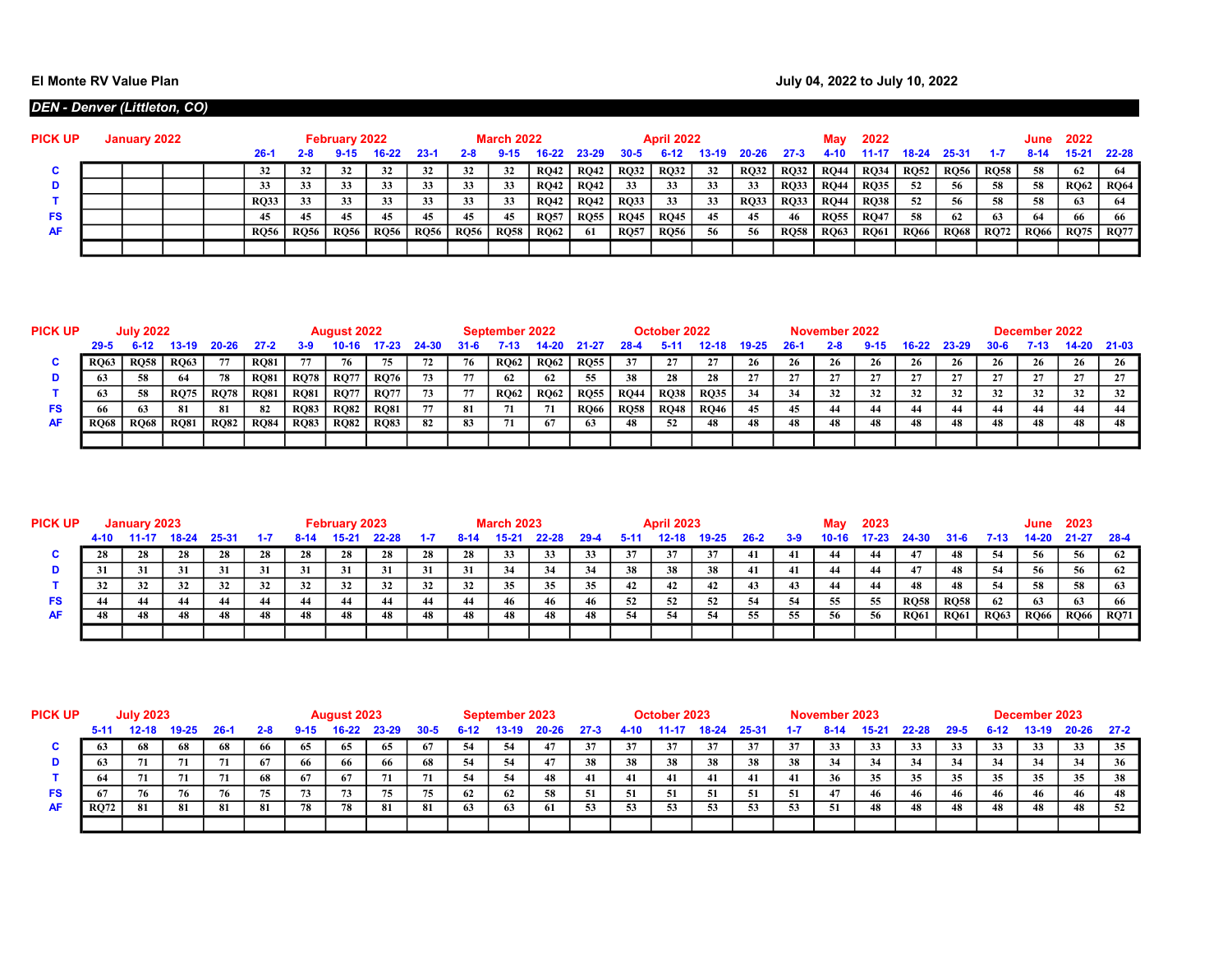## DEN - Denver (Littleton, CO)

| <b>PICK UP</b> | January 2022 |  |  |             |             | February 2022 |             |             |             | <b>March 2022</b> |             |             |             | <b>April 2022</b> |         |             |             | May         | 2022        |             |         |             | <b>June 2022</b> |             |             |
|----------------|--------------|--|--|-------------|-------------|---------------|-------------|-------------|-------------|-------------------|-------------|-------------|-------------|-------------------|---------|-------------|-------------|-------------|-------------|-------------|---------|-------------|------------------|-------------|-------------|
|                |              |  |  | $26-1$      | 2-8         |               | $16-22$     | $23-1$      | $2 - 8$     | $9 - 15$          | $16-22$     | 23-29       | $30 - 5$    | $6-12$            | $13-19$ | $20 - 26$   | $27 - 3$    | $4 - 10$    | $11-17$     | 18-24       | - 25-31 | $-1-7$      | $8-14$           | 15-21 22-28 |             |
| u              |              |  |  |             | 32          | 32            | 32          |             | 32          | 32                | <b>RO42</b> | RO42        | <b>RQ32</b> | <b>RO32</b>       | 32      | <b>RQ32</b> | <b>RQ32</b> | <b>RO44</b> | <b>RQ34</b> | $RO52$ RQ56 |         | <b>RQ58</b> | 58               | - 62        |             |
|                |              |  |  |             | 33          | 33            | 33          | 33          |             | 33                | <b>RQ42</b> | <b>RO42</b> | 33          | 33                | 33      | - 33        | <b>RO33</b> | <b>RQ44</b> | <b>RQ35</b> | -52         | 56      | 58          | -58              | RO62        | <b>RQ64</b> |
|                |              |  |  | <b>RO33</b> | 33          | 33            |             | 33          |             | 33                | <b>RO42</b> | <b>RO42</b> | <b>RQ33</b> | 33                | 33      | <b>RO33</b> | <b>RQ33</b> | <b>RO44</b> | <b>RQ38</b> | 52          | 56      | 58          | 58               | 63          |             |
| FS             |              |  |  |             | 45          | 45            | 45          | 45          | 45          | 45                | <b>RQ57</b> | <b>RQ55</b> | <b>RQ45</b> | <b>RQ45</b>       | 45      | 45          | 46          | <b>RO55</b> | <b>RQ47</b> | 58          | - 62    | 63          | -64              | 66          |             |
| <b>AF</b>      |              |  |  | RO56        | <b>RQ56</b> | <b>RQ56</b>   | <b>RQ56</b> | <b>RQ56</b> | <b>RQ56</b> | <b>RQ58</b>       | <b>RQ62</b> | -61         | <b>RQ57</b> | <b>RO56</b>       | 56      | -56         | <b>RQ58</b> | <b>RQ63</b> | <b>RQ61</b> | RQ66   RQ68 |         | RQ72        | <b>RQ66</b>      | RQ75   RQ77 |             |
|                |              |  |  |             |             |               |             |             |             |                   |             |             |             |                   |         |             |             |             |             |             |         |             |                  |             |             |

| <b>PICK UP</b> |                                    | <b>July 2022</b> |             |             |             |             | <b>August 2022</b> |             |    |    | September 2022 |             |             |             | October 2022 |             |    |     | November 2022 |    |         |       |    | December 2022 |             |    |
|----------------|------------------------------------|------------------|-------------|-------------|-------------|-------------|--------------------|-------------|----|----|----------------|-------------|-------------|-------------|--------------|-------------|----|-----|---------------|----|---------|-------|----|---------------|-------------|----|
|                | $29 - 5$<br>6-12<br>13-19<br>20.26 |                  |             |             | 27.2        | 3-9         | 10-16              |             |    |    | 7-15           |             |             | 28-4        | $5-1$        | 12-18       |    | 26- | $2 - 8$       |    | $16-22$ | 23-29 |    |               | 14-20 21-03 |    |
|                | <b>RO63</b>                        | <b>RQ58</b>      | <b>RQ63</b> | 77          | <b>RO81</b> | 77          | 76                 | 75          |    | 76 | <b>RQ62</b>    | <b>RQ62</b> | <b>RQ55</b> | 37          |              |             | 26 | 26  | 26            | 26 | 26      |       | 26 | 26            |             | 26 |
|                |                                    | 58.              | 64          | 78          | <b>RO81</b> | <b>RQ78</b> | <b>RQ77</b>        | <b>RQ76</b> | 73 |    | 62             | 62          |             | 38          | 28           | 28          |    |     |               |    |         |       |    |               |             |    |
|                |                                    | -58              | <b>RQ75</b> | <b>RQ78</b> | <b>RQ81</b> | <b>RQ81</b> | <b>RQ77</b>        | <b>RQ77</b> | 73 | 77 | <b>RQ62</b>    | <b>RQ62</b> | <b>RQ55</b> | <b>RQ44</b> | <b>RQ38</b>  | <b>RQ35</b> | 34 |     | 32            | 32 |         | 32    | 32 | 32            | 32          | 32 |
| FS             | 66                                 |                  | - 81        |             | -82         | <b>RQ83</b> | <b>RO82</b>        | <b>RQ81</b> | 77 | 81 | 71             |             | <b>RO66</b> | <b>RQ58</b> | <b>RQ48</b>  | <b>RQ46</b> | 45 | 45  | 44            |    |         |       |    | 44            |             | 44 |
| AF             | <b>RO68</b>                        | <b>RQ68</b>      | <b>RQ81</b> | <b>RQ82</b> | <b>RQ84</b> | <b>RQ83</b> | <b>RQ82</b>        | <b>RQ83</b> | 82 | 83 |                | 67          | 65          | 48          | 52           | 48          | 48 | 48  |               | 48 |         |       |    |               |             | 48 |
|                |                                    |                  |             |             |             |             |                    |             |    |    |                |             |             |             |              |             |    |     |               |    |         |       |    |               |             |    |

| <b>PICK UP</b> | January 2023 |    |       |       |     |      | February 2023 |       |     |      | <b>March 2023</b> |       |      |    | <b>April 2023</b> |       |          |       | May   | 2023  |             |             |             | June        | 2023        |             |
|----------------|--------------|----|-------|-------|-----|------|---------------|-------|-----|------|-------------------|-------|------|----|-------------------|-------|----------|-------|-------|-------|-------------|-------------|-------------|-------------|-------------|-------------|
|                | 4-10         |    | 18-24 | 25-31 |     | 8-14 | -15-24        | 22-28 |     | 8-14 | 15.21             | 22-28 | 29-4 |    | 12-18             | 19-25 | $26 - 2$ | $3-9$ | 10-16 | 17.23 | 24-30       | -31-6       | 7-13        | 14-20       | $21 - 27$   | - 28-4      |
|                | 28           | 28 | 28    | 28    | 28  | 28   | 28            | 28    | 28  | 28   | 33                | 33    |      | 37 | 37                | 37    | 41       | 41    |       | 44    |             | 48          | -54         | -56         |             | 62          |
|                |              | 31 | 31    | 31    | -31 | 31   | 31            | 31    | 31  | 31   | 34                | 34    | 34   | 38 | 38                | 38    | 41       | -41   | 44    | 44    |             | 48          | -54         | -56         |             | -62         |
|                |              | 32 | 32    | 32    |     | 32   | 32            | 32    |     | 32   | 35                | 35    |      | 42 | 42                | 42    |          | 43    | 44    | 44    |             | 48          |             | 58          | -58         | 63          |
| FS             |              |    | 44    | 44    |     | 44   |               | 44    | -44 |      | 46                | 46    |      | 52 | 52                | 52    | -54      | 54    | -55   | 55    | <b>RQ58</b> | <b>RQ58</b> | 62          | 63          |             | -66         |
| <b>AF</b>      |              | 48 | 48    | 48    |     | 48   | 48.           | 48    |     | 48   | 48                | 48    |      | 54 | -54               | 54    |          | 55    | 56    | 56    | <b>RQ61</b> | <b>RQ61</b> | <b>RQ63</b> | <b>RQ66</b> | <b>RQ66</b> | <b>RQ71</b> |
|                |              |    |       |       |     |      |               |       |     |      |                   |       |      |    |                   |       |          |       |       |       |             |             |             |             |             |             |

| <b>PICK UP</b> | <b>July 2023</b>                     |    |    |    |         |          | <b>August 2023</b> |       |          |        | September 2023 |       |          |      | October 2023 |       |             |     | November 2023 |       |       |          |          | December 2023 |       |        |
|----------------|--------------------------------------|----|----|----|---------|----------|--------------------|-------|----------|--------|----------------|-------|----------|------|--------------|-------|-------------|-----|---------------|-------|-------|----------|----------|---------------|-------|--------|
|                | $19 - 25$<br>5-11<br>12-18<br>$26-1$ |    |    |    | $2 - 8$ | $9 - 15$ | $16 - 22$          | 23-29 | $30 - 5$ | $6-12$ | $13-19$        | 20-26 | $27 - 3$ | 4.10 | 11-17        | 18-24 | 25-31       |     | 8-14          | 15.21 | 22-28 | $29 - 5$ | $6 - 12$ | 13-19         | 20-26 | $27-2$ |
|                |                                      | 68 | 68 | 68 | 99      | -65      | -65                | 65    | 67       | -54    | -54            |       |          | 37   |              |       |             |     | 33            | 33    | 33    | 33       | 33       |               | 33    | 35     |
|                |                                      |    | 71 | 71 | 67      | -66      | 66                 | -66   | 68       | -54    | 54             |       | 38       | 38   | 38           | 38    | 38          | 38  | 34            | 34    |       | 34       |          | - 34          | 34    |        |
|                |                                      | 71 | 71 | 71 | 68      | -67      | 67                 | 71    | -71      | 54     | 54             | 48    |          | -41  | 41           | 41    | 41          | 41  | 36            | 35    | 35    | 35       | 35       | 35            | 35    | -38    |
| FS             |                                      | 76 | 76 | 76 |         | 73       | 73                 | 75    | 75       | - 62   | 62             | 58    |          | -51  |              | 51    |             | 51  | 47            | 46    |       | 46       | 46       |               |       |        |
| AF             | <b>RO72</b>                          | 81 | 81 | 81 | -81     | 78       | 78                 | 81    | 81       | 63     | 63             | 61    | -53      | -53  | 53           | 53    | -53<br>د د. | -53 | -51           | -48   |       | 48       |          |               |       | -52    |
|                |                                      |    |    |    |         |          |                    |       |          |        |                |       |          |      |              |       |             |     |               |       |       |          |          |               |       |        |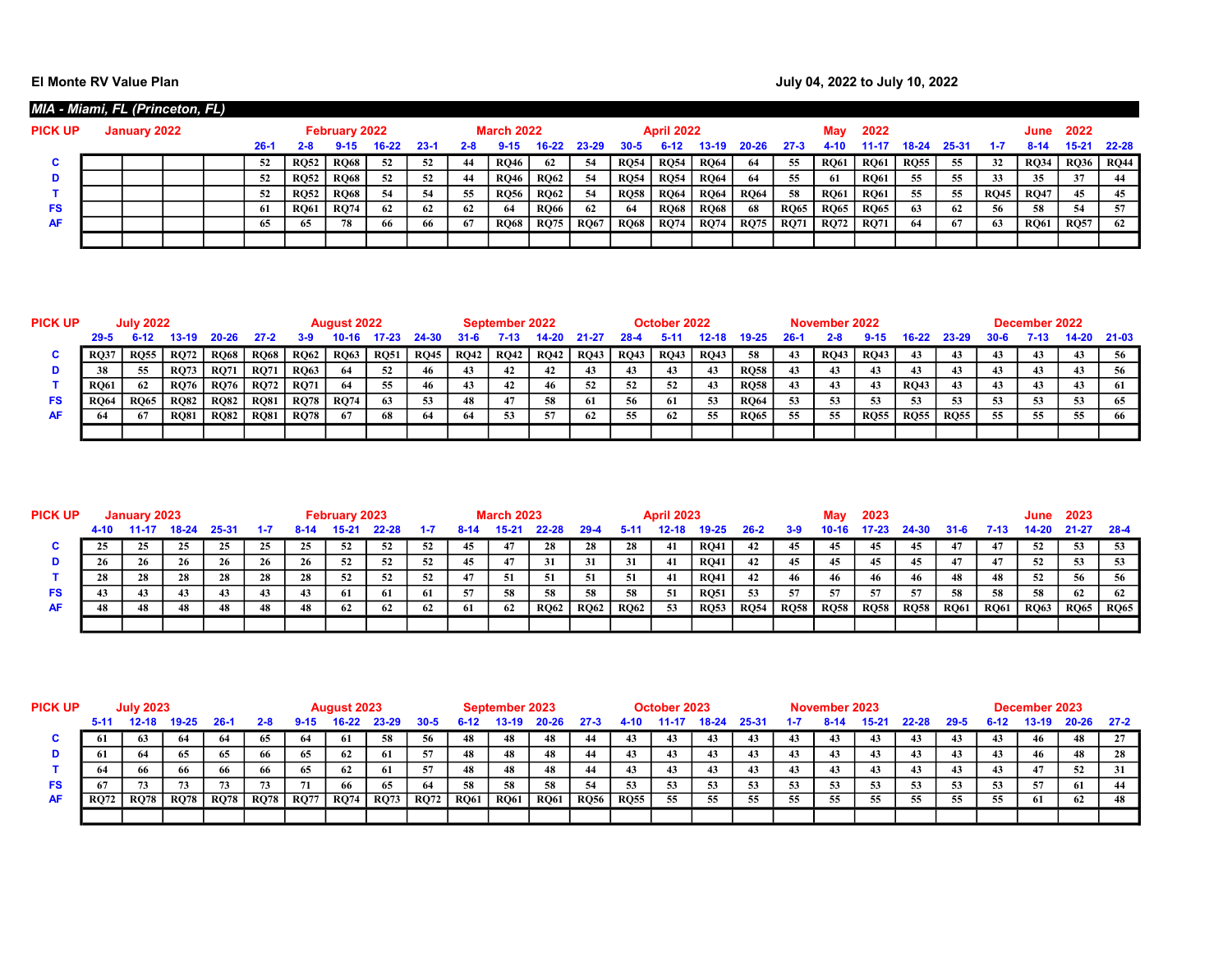## El Monte RV Value Plan **Acceleration Controller Controller Controller Controller Controller Controller Controller Controller Controller Controller Controller Controller Controller Controller Controller Controller Controlle**

| MIA - Miami, FL (Princeton, FL) |              |  |        |             |                      |       |          |     |                   |             |             |             |                   |             |             |             |             |             |             |           |             |             |             |             |
|---------------------------------|--------------|--|--------|-------------|----------------------|-------|----------|-----|-------------------|-------------|-------------|-------------|-------------------|-------------|-------------|-------------|-------------|-------------|-------------|-----------|-------------|-------------|-------------|-------------|
| <b>PICK UP</b>                  | January 2022 |  |        |             | <b>February 2022</b> |       |          |     | <b>March 2022</b> |             |             |             | <b>April 2022</b> |             |             |             | Mav         | 2022        |             |           |             | June        | 2022        |             |
|                                 |              |  | $26 -$ |             |                      | 16-22 | $23 - 1$ | 2-8 |                   |             | 23-29       | 30-5        |                   | IS-19       | $20 - 26$   | 27.3        | 4-10        | 11-1        | 18-24       | $25 - 3'$ |             | $8-14$      | 15-21       | $22 - 28$   |
| u                               |              |  | 52     | <b>RO52</b> | <b>RQ68</b>          | 52    | 52       | -44 | <b>RQ46</b>       | 62          | -54         | <b>RQ54</b> | <b>RO54</b>       | <b>RO64</b> | 64          | 55          | <b>RQ61</b> | <b>RQ61</b> | <b>RQ55</b> | 55        | 32          | <b>RQ34</b> | <b>RQ36</b> | <b>RQ44</b> |
| D                               |              |  | 52     | <b>RO52</b> | <b>RO68</b>          | 52    | -52      | 44  | <b>RO46</b>       | <b>RO62</b> | -54         | <b>RQ54</b> | <b>RO54</b>       | <b>RO64</b> | 64          | 55          | 61          | <b>RO61</b> | 55          | 55        | 33          |             | 37          | 44          |
|                                 |              |  |        | <b>RO52</b> | <b>RO68</b>          | 54    | -54      | 55  | <b>RQ56</b>       | <b>RO62</b> | -54         | <b>RQ58</b> | <b>RO64</b>       | <b>RO64</b> | <b>RO64</b> | 58          | <b>RQ61</b> | <b>RQ61</b> | 55          | 55        | <b>RQ45</b> | <b>RO47</b> | 45          | 45          |
| <b>FS</b>                       |              |  | 61     | <b>RO61</b> | <b>RO74</b>          | 62    | 62       | 62  | 64                | <b>RO66</b> | 62          | -64         | <b>RO68</b>       | <b>RO68</b> | 68          | <b>RQ65</b> | <b>RQ65</b> | <b>RQ65</b> | 63          | 62        | 56          | 58          | 54          | 57          |
| <b>AF</b>                       |              |  | 65     | 65          | 78                   | 66    | 66       | 67  | <b>RQ68</b>       | <b>RQ75</b> | <b>RQ67</b> | <b>RQ68</b> | <b>RQ74</b>       | <b>RO74</b> | <b>RQ75</b> | <b>RO71</b> | <b>RQ72</b> | <b>RQ71</b> | 64          | 67        | 63          | <b>RQ61</b> | <b>RQ57</b> | 62          |
|                                 |              |  |        |             |                      |       |          |     |                   |             |             |             |                   |             |             |             |             |             |             |           |             |             |             |             |

| PICK UP | <b>July 2022</b> |             |             |             |             |             | <b>August 2022</b> |             |             |      | September 2022 |             |             |      | October 2022 |             |             |     | November 2022 |             |             |             |          | December 2022 |             |    |
|---------|------------------|-------------|-------------|-------------|-------------|-------------|--------------------|-------------|-------------|------|----------------|-------------|-------------|------|--------------|-------------|-------------|-----|---------------|-------------|-------------|-------------|----------|---------------|-------------|----|
|         | $29 - 5$         | $6-12$      | 13-19       | 20-26       | 27.2        | 3.9         | 10-16              |             | 24-30       |      | 7.13           |             |             | 28-4 | -5-11        | 12-18       |             | 26- | $2 - 8$       |             | $16-22$     | 23-29       | $30 - 6$ |               | 14-20 21-03 |    |
|         | RO3              | <b>RO55</b> | <b>RQ72</b> | <b>RQ68</b> | <b>RQ68</b> | <b>RQ62</b> | <b>RQ63</b>        | <b>RQ51</b> | <b>RQ45</b> | RQ42 | <b>RQ42</b>    | <b>RQ42</b> | <b>RQ43</b> | RQ43 | <b>RQ43</b>  | <b>RQ43</b> | -58         | 43  | <b>RQ43</b>   | <b>RQ43</b> |             |             |          | 43            |             | 56 |
|         |                  | 55          | <b>RQ73</b> | <b>RQ71</b> | <b>RO71</b> | <b>RQ63</b> | 64                 | 52          | 46          | 43   | 42             | 42          | 45          | 43   |              |             | <b>RO58</b> |     | 43            | 43          |             |             |          | 43            | 43          |    |
|         | <b>RO61</b>      | -62         | <b>RQ76</b> | <b>RQ76</b> | <b>RO72</b> | <b>RQ71</b> | 64                 | 55          | 46          | 43   | 42             | 46          |             | 52   | 52           | 43          | <b>RO58</b> |     | 43            | 43          | <b>RO43</b> |             |          | 43            |             | 61 |
| FS      | <b>RQ64</b>      | <b>RO65</b> | <b>RO82</b> | <b>RQ82</b> | <b>RQ81</b> | <b>RQ78</b> | <b>RQ74</b>        | 63          | 53          | 48   | 47             | 58          | -61         | 56   | -61          | 53          | <b>RO64</b> | 53  | 53            |             |             | 53          | 53       | 53            | -53         | 65 |
| AF      |                  |             | <b>RQ81</b> | <b>RQ82</b> | <b>RQ81</b> | <b>RQ78</b> |                    | 68          |             |      |                |             | 62          |      | 62           | 55          | <b>RQ65</b> |     | 55            | <b>RQ55</b> | <b>RQ55</b> | <b>RQ55</b> | 55       | 55            | 55          |    |
|         |                  |             |             |             |             |             |                    |             |             |      |                |             |             |      |              |             |             |     |               |             |             |             |          |               |             |    |

| <b>PICK UP</b> | January 2023  |    |    |           |    |    | February 2023 |       |      |     | <b>March 2023</b> |             |             |             | <b>April 2023</b> |             |             |             | Mav         | 2023        |             |             |             | June        | 2023        |             |
|----------------|---------------|----|----|-----------|----|----|---------------|-------|------|-----|-------------------|-------------|-------------|-------------|-------------------|-------------|-------------|-------------|-------------|-------------|-------------|-------------|-------------|-------------|-------------|-------------|
|                | 4-10<br>18-24 |    |    | $25 - 31$ |    |    |               | 22-28 |      |     | $15 - 27$         | 22-28       | 29.4        |             |                   | 19-25       | 26-2        | 3.9         |             |             | 24-30       | 31-6        | 7-13        | $14 - 20$   | 21-27       | - 28-4      |
|                |               | 25 | 25 | 25.       |    | 25 | -52           | 52    | -52  | 45  | 47                | 28          | 28          | 28          | 41                | <b>RQ41</b> | 42          | 45          | 45          | 45          | 45          | 47          | 47          | 52          | 53          | 53          |
|                |               | 26 | 26 | 26        | 26 | 26 | -52           | 52    | -52  | 45  | 47                | 31          | 31          | 31          | 41                | <b>RO41</b> | 42          | 45          | 45          | 45          | 45          | 47          | 47          | 52          | -53         |             |
|                | 28            | 28 | 28 | 28        | 28 | 28 | 52            | 52    | - 52 | 47  | -51               |             | -51         | 51          | -41               | <b>RQ41</b> | 42          | 46          | 46          | 46          | 46          | 48          | 48          | 52          | 56          | 56          |
| FS             |               |    | 43 |           |    | 43 | -61           | 61    | 61   | 57  | 58                | 58          | 58          | -58         | -51               | <b>RQ51</b> | 53          | 57          | -57         | 57          | -57         | 58          | 58          | 58          | 62          | 62          |
| AF             |               | 48 | 48 | 48        | 48 | 48 | 62            | 62    | 62   | -61 | 62                | <b>RQ62</b> | <b>RQ62</b> | <b>RQ62</b> | 53                | <b>RQ53</b> | <b>RQ54</b> | <b>RQ58</b> | <b>RQ58</b> | <b>RQ58</b> | <b>RQ58</b> | <b>RQ61</b> | <b>RQ61</b> | <b>RQ63</b> | <b>RQ65</b> | <b>RQ65</b> |
|                |               |    |    |           |    |    |               |       |      |     |                   |             |             |             |                   |             |             |             |             |             |             |             |             |             |             |             |

| <b>PICK UP</b> | <b>July 2023</b>                    |             |             |             |         |             | <b>August 2023</b> |             |          |             | September 2023 |             |             |             | October 2023 |       |             |         | November 2023 |       |       |          |          | December 2023 |           |      |
|----------------|-------------------------------------|-------------|-------------|-------------|---------|-------------|--------------------|-------------|----------|-------------|----------------|-------------|-------------|-------------|--------------|-------|-------------|---------|---------------|-------|-------|----------|----------|---------------|-----------|------|
|                | $19 - 25$<br>12-18<br>5-11<br>-26-1 |             |             |             | $2 - 8$ | $9 - 15$    | $16-22$            | 23-29       | $30 - 5$ | 6-12        | $13-19$        | 20-26       | $27 - 3$    | $4 - 10$    | $-11 - 17$   | 18-24 | 25-31       | $1 - 7$ | 8-14          | 15.21 | 22-28 | $29 - 5$ | $6 - 12$ | $13-19$       | $20 - 26$ | 27-2 |
| u              |                                     |             | 64          | 64          |         | -64         | -61                | 58          | 56       | 48          | 48             | 48          |             | 43          |              | 43    | 43          | -43     | 43            |       |       | 43       |          |               |           | 27   |
|                |                                     |             | -65         | 65          | 66      | -65         | 62                 | -61         | 57       | 48          | 48             | 48          |             | 43          |              | 43    | 43          | 43      | 43            | 43    |       | 43       |          |               |           | 28   |
|                |                                     |             | -66         | -66         | 66.     | -65         | 62                 | -61         | -57      | 48          | 48             | 48          |             | 43          |              | 43    | 43          | 43      | 43            | 43    | 43    | 43       |          |               | 52        | 31   |
| FS.            |                                     |             | 73          |             |         | 71          | 66                 | 65          | 64       | 58          | 58             | 58          | -54         | 53          | -53          | 53    | 53<br>نەڭ . | -53     | 53            | 53    |       | 53       | 53       | -57           | 61        |      |
| AF             | <b>RO72</b>                         | <b>RQ78</b> | <b>RQ78</b> | <b>RQ78</b> | RO78    | <b>RQ77</b> | <b>RQ74</b>        | <b>RQ73</b> | RQ72     | <b>RQ61</b> | <b>RQ61</b>    | <b>RQ61</b> | <b>RQ56</b> | <b>RQ55</b> | 55           | 55    | -55         | 55      | 55            | 55.   | 55    | 55       | 55       | 61            | -62       |      |
|                |                                     |             |             |             |         |             |                    |             |          |             |                |             |             |             |              |       |             |         |               |       |       |          |          |               |           |      |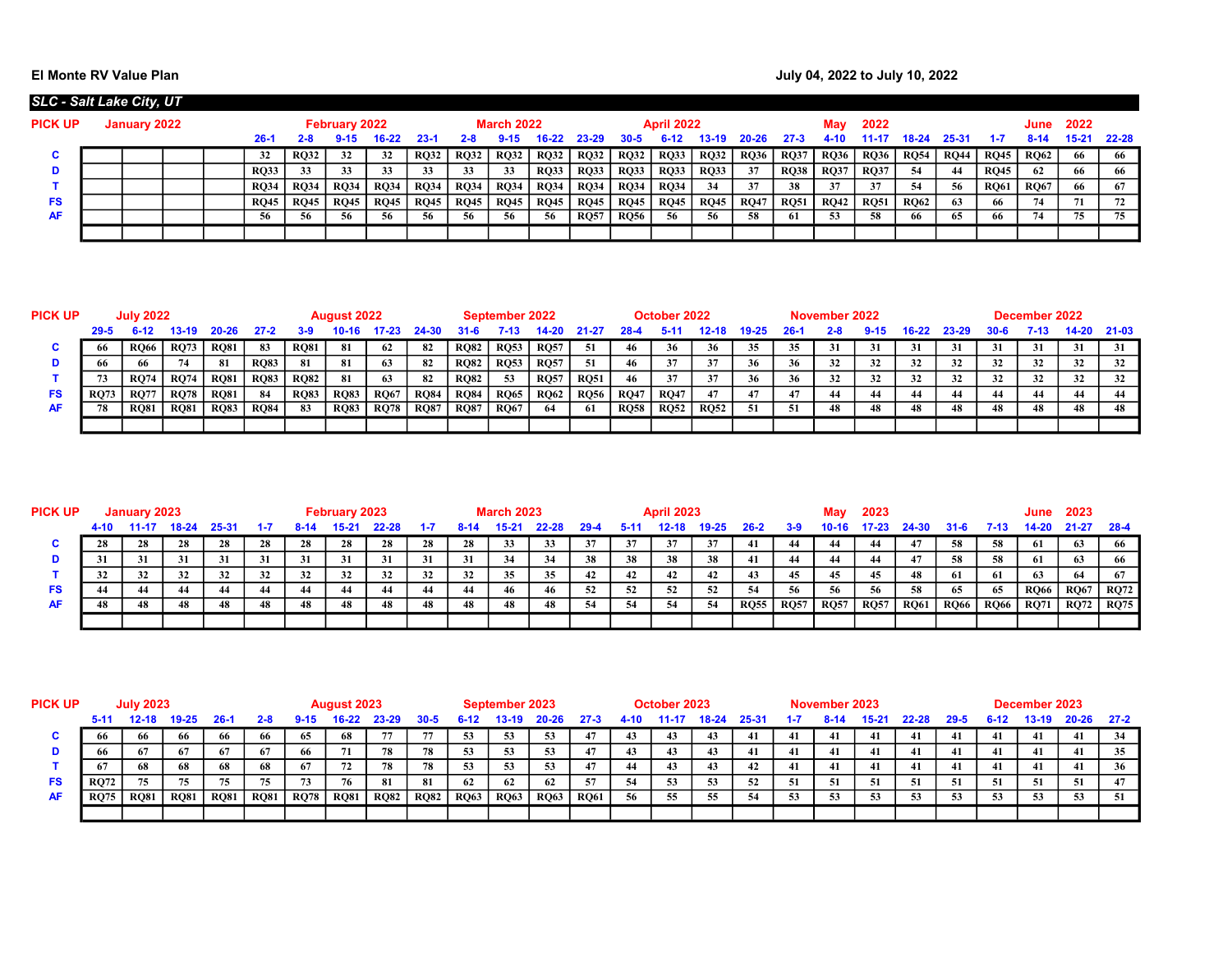## El Monte RV Value Plan **Acceleration Controller Controller Controller Controller Controller Controller Controller Controller Controller Controller Controller Controller Controller Controller Controller Controller Controlle**

| <b>SLC - Salt Lake City, UT</b> |              |  |               |             |               |             |             |             |                   |             |             |             |                   |             |             |             |             |             |             |             |             |             |       |           |
|---------------------------------|--------------|--|---------------|-------------|---------------|-------------|-------------|-------------|-------------------|-------------|-------------|-------------|-------------------|-------------|-------------|-------------|-------------|-------------|-------------|-------------|-------------|-------------|-------|-----------|
| <b>PICK UP</b>                  | January 2022 |  |               |             | February 2022 |             |             |             | <b>March 2022</b> |             |             |             | <b>April 2022</b> |             |             |             | Mav         | 2022        |             |             |             | June        | 2022  |           |
|                                 |              |  | ′-26          | 2-8         |               | 16-22       | $23-1$      | 2-8         | $9 - 15$          |             | $23 - 29$   | 30-5        |                   | 13-19.      | $20 - 26$   | $27 - 3$    |             | 11-17       | 18-24       | 25-31       |             | $8 - 14$    | 15-21 | $22 - 28$ |
| u                               |              |  |               | <b>RO32</b> | 32            | 32          | <b>RO32</b> | <b>RQ32</b> | <b>RQ32</b>       | <b>RQ32</b> | RO32        | <b>RQ32</b> | <b>RQ33</b>       | <b>RQ32</b> | <b>RQ36</b> | <b>RO37</b> | <b>RQ36</b> | <b>RQ36</b> | <b>RQ54</b> | <b>RQ44</b> | <b>RO45</b> | <b>RQ62</b> | -66   | 66        |
| D                               |              |  | <b>RO33</b>   | 33          | 33            | 33          | 33          | 33          | 33                | <b>RQ33</b> | RO33        | <b>RQ33</b> | <b>RQ33</b>       | <b>RQ33</b> | 37          | <b>RQ38</b> | <b>RO37</b> | <b>RQ37</b> | -54         | 44          | <b>RQ45</b> | 62          | -66   | 66        |
|                                 |              |  | <b>RO34</b> 1 | <b>RQ34</b> | <b>RQ34</b>   | <b>RQ34</b> | <b>RQ34</b> | <b>RQ34</b> | <b>RQ34</b>       | <b>RQ34</b> | RO34        | <b>RQ34</b> | <b>RQ34</b>       | 34          | 37          | 38          | 37          | 37          | -54         | -56         | <b>RQ61</b> | <b>RQ67</b> | -66   | -67       |
| <b>FS</b>                       |              |  | RO45          | <b>RQ45</b> | <b>RQ45</b>   | <b>RQ45</b> | RQ45        | <b>RQ45</b> | <b>RQ45</b>       | <b>RQ45</b> | RO45        | <b>RQ45</b> | <b>RQ45</b>       | <b>RQ45</b> | <b>RQ47</b> | <b>RQ51</b> | <b>RQ42</b> | <b>RQ51</b> | <b>RO62</b> | 63          | 66          | 74          |       | 72        |
| <b>AF</b>                       |              |  |               | 56          | 56            | 56          | 56          | 56          | -56               | 56          | <b>RO57</b> | <b>RQ56</b> | 56                | 56          | -58         | -61         | 53          | 58          |             | 65          | 66          | 74          | 75    | 75        |
|                                 |              |  |               |             |               |             |             |             |                   |             |             |             |                   |             |             |             |             |             |             |             |             |             |       |           |

| <b>PICK UP</b> | <b>July 2022</b>                       |             |             |             |             |             | <b>August 2022</b> |             |             |             | September 2022 |             |             |             | October 2022 |             |     |       | November 2022 |    |       |       |       | December 2022 |         |       |
|----------------|----------------------------------------|-------------|-------------|-------------|-------------|-------------|--------------------|-------------|-------------|-------------|----------------|-------------|-------------|-------------|--------------|-------------|-----|-------|---------------|----|-------|-------|-------|---------------|---------|-------|
|                | $29 - 5$<br>6-12<br>13-19<br>$20 - 26$ |             |             |             | $27-2$      | 3-9         |                    |             | 24-30       | 31-6        | 7-13           |             | 21-27       | 28-4        |              |             |     | $26-$ |               |    | 16.22 | 23-29 | -30-6 | 7-13          | $14-20$ | 21-03 |
|                | 66                                     | RO66        | <b>RO73</b> | <b>RQ81</b> | -83         | <b>RQ81</b> |                    | 62          | - 82        | <b>RO82</b> | <b>RQ53</b>    | <b>RQ57</b> | -51         | 46          | 36           | 36          |     | 35    | -31           | 31 |       |       | 31    | 31            |         |       |
|                |                                        |             | 74          | - 81        | <b>RO83</b> | 81          | -81                | 63          | 82          | <b>RO82</b> | <b>RQ53</b>    | <b>RQ57</b> | -51         | 46          | 37           | 37          | 36  | 36    | 32            | 32 | 32    | 32    | 32    | 32            | 32      | 32    |
|                |                                        | <b>RO74</b> | <b>RQ74</b> | <b>RQ81</b> | <b>RO83</b> | <b>RQ82</b> |                    | 63          | 82          | <b>RO82</b> | 53             | <b>RQ57</b> | <b>RO51</b> | 46          | 37           | 37          | 36  | 36    | 32            | 32 | 32    | 32    | 32    | 32            | 32      | 32    |
| FS             | <b>RO73</b>                            | RO7'        | <b>RO78</b> | <b>RQ81</b> | -84         | <b>RQ83</b> | <b>RQ83</b>        | <b>RQ67</b> | <b>RQ84</b> | <b>RQ84</b> | <b>RQ65</b>    | <b>RQ62</b> | <b>RQ56</b> | <b>RQ47</b> | <b>RQ47</b>  | 47          |     |       | 44            |    |       | 44    | 44    | 44            | 44      | 44    |
|                | 78                                     | <b>RO81</b> | <b>RQ81</b> | <b>RQ83</b> | <b>RQ84</b> | 83          | <b>RQ83</b>        | <b>RQ78</b> | <b>RQ87</b> | <b>RQ87</b> | <b>RQ67</b>    | 64          | -61         | <b>RQ58</b> | <b>RQ52</b>  | <b>RQ52</b> | -51 | 51    | 48            | 48 | 48    | 48    | 48    | 48            | 48      | 48    |
|                |                                        |             |             |             |             |             |                    |             |             |             |                |             |             |             |              |             |     |       |               |    |       |       |       |               |         |       |

| <b>PICK UP</b> | January 2023    |    |    |       |    | February 2023 |    |       |     | <b>March 2023</b> |    |       |      | <b>April 2023</b> |    |       |             | May         | 2023        |             |             |             | June        | 2023        |             |             |
|----------------|-----------------|----|----|-------|----|---------------|----|-------|-----|-------------------|----|-------|------|-------------------|----|-------|-------------|-------------|-------------|-------------|-------------|-------------|-------------|-------------|-------------|-------------|
|                | $18-24$<br>4-10 |    |    | 25-31 |    | 8-14          |    | 22-28 |     |                   |    | 22-28 | 29.4 | 5-11              |    | 19-25 | $26-2$      | 3.9         | 10-16       | 17.23       | 24-30       | -31-6       | 7-13        | $14-20$     | 21-27       | - 28-4      |
|                |                 | 28 | 28 | 28    | 28 | 28            | 28 | 28    | 28  | 28                | 33 | 33    | 37   | 37                |    | 37    | -41         |             | -44         |             |             | 58          | 58          | 61          | 63          | 66          |
|                |                 | 31 | 31 | 31    | 31 | 31            | 31 | 31    | 31  | 31                | 34 | 34    | 38   | 38                | 38 | 38    | 41          | 44          | 44          |             | 47          | 58          | 58          | 61          | 63          |             |
|                |                 | 32 | 32 | 32    | 32 | 32            | 32 | 32    | 32  | 32                | 35 | 35    | 42   | 42                | 42 | 42    | 43          | 45          | 45          | 45          | 48          | 61          |             | 63          | -64         |             |
| FS             |                 |    | 44 |       |    | 44            | 44 | 44    | -44 | 44                | 46 | 46    | - 52 | 52                | 52 | 52    | -54         | 56.         | -56         | 56          | -58         | 65          | 65          | <b>RQ66</b> | <b>RQ67</b> | <b>RQ72</b> |
| AF             |                 | 48 | 48 | -48   | 48 | 48            | 48 | 48    | 48  | 48                | 48 | 48    | -54  | 54                | 54 | 54    | <b>RO55</b> | <b>RQ57</b> | <b>RQ57</b> | <b>RQ57</b> | <b>RQ61</b> | <b>RQ66</b> | <b>RQ66</b> | <b>RQ71</b> | RO72        | <b>RQ75</b> |
|                |                 |    |    |       |    |               |    |       |     |                   |    |       |      |                   |    |       |             |             |             |             |             |             |             |             |             |             |

| <b>PICK UP</b> |             | <b>July 2023</b> |             |             |         |             | <b>August 2023</b> |             |             |             | September 2023 |             |             |      | October 2023 |         |           |     | November 2023 |       |       |          |          | December 2023 |           |      |
|----------------|-------------|------------------|-------------|-------------|---------|-------------|--------------------|-------------|-------------|-------------|----------------|-------------|-------------|------|--------------|---------|-----------|-----|---------------|-------|-------|----------|----------|---------------|-----------|------|
|                | $5 - 11$    | 12-18            | $19 - 25$   | $26-1$      | $2 - 8$ | $9 - 15$    | $16 - 22$          | $23 - 29$   | $30 - 5$    | $6-12$      | $13-19$        | $20 - 26$   | $27 - 3$    | 4.10 | 11-17        | $18-24$ | $25 - 31$ |     |               | '5.2° | 22-28 | $29 - 5$ | $6 - 12$ | 13-19         | $20 - 26$ | 27-2 |
|                |             | 66.              | -66         | -66         | 66.     | -65         | 68                 | 77          |             | -53         | 53             | 53          |             | 43   |              | 43      | 41        | 41  | 41            | 41    | 41    | 41       | 41       | 41            | 41        |      |
|                |             |                  | 67          | 67          | 67      | -66         | 71                 | 78          | 78          | 53          | 53             | 53          |             | 43   |              | 43      | 41        | 41  | 41            | 41    | 41    | 41       | 41       | 41            | 41        | 35   |
|                |             | 68               | 68          | 68          | 68      | 67          | 72                 | 78          | 78          | 53          | 53             |             |             | 44   |              | 43      | -42       | 41  | 41            | 41    | 41    | 41       | 41       | 41            | 41        |      |
| FS             | <b>RQ72</b> | 75               | 75          | 75          |         | 73          | 76                 | 81          | -81         | 62          | 62             | 62          | 57          | 54   | 53           | 53      | 52        | -51 | 51            | 51    | 51    | 51       | 51       | 51            | 51        |      |
| AF             | <b>RO75</b> | <b>RQ81</b>      | <b>RQ81</b> | <b>RQ81</b> | RO81    | <b>RQ78</b> | <b>RQ81</b>        | <b>RQ82</b> | <b>RQ82</b> | <b>RQ63</b> | <b>RQ63</b>    | <b>RQ63</b> | <b>RO61</b> | 56   | 55           | 55      | -54       | 53  | 53            | 53    | 53    | 53       |          |               |           | 51   |
|                |             |                  |             |             |         |             |                    |             |             |             |                |             |             |      |              |         |           |     |               |       |       |          |          |               |           |      |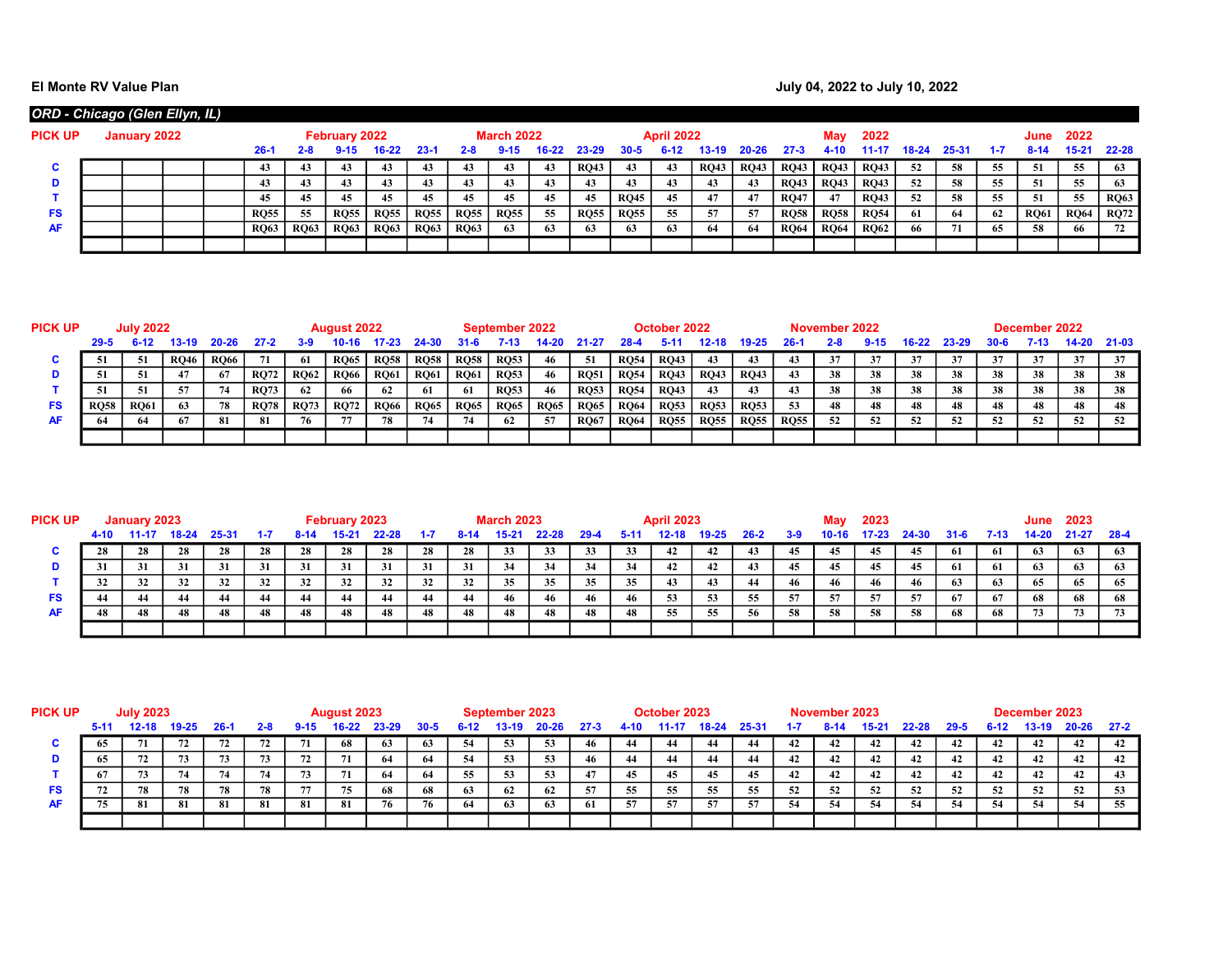## El Monte RV Value Plan **Acceleration Controller Controller Controller Controller Controller Controller Controller Controller Controller Controller Controller Controller Controller Controller Controller Controller Controlle**

| ORD - Chicago (Glen Ellyn, IL) |              |  |             |             |               |             |             |             |                   |    |             |             |                   |             |             |             |             |             |           |           |    |             |             |             |
|--------------------------------|--------------|--|-------------|-------------|---------------|-------------|-------------|-------------|-------------------|----|-------------|-------------|-------------------|-------------|-------------|-------------|-------------|-------------|-----------|-----------|----|-------------|-------------|-------------|
| <b>PICK UP</b>                 | January 2022 |  |             |             | February 2022 |             |             |             | <b>March 2022</b> |    |             |             | <b>April 2022</b> |             |             |             | Mav         | 2022        |           |           |    | June        | 2022        |             |
|                                |              |  | بـ26        | 2-8         |               | 16-22       | $23 - 1$    | $2 - 8$     | $9 - 15$          |    | 23-29       | $30 - 5$    |                   | 3-19        | 20-26       | 27-3        | 4-10        | 14.41       | $18 - 24$ | $25 - 3'$ |    | 8-14        | 15-21       | $22 - 28$   |
| C                              |              |  |             |             |               |             |             | 43          | 43                | 43 | <b>RO43</b> | 43          | 43                | <b>RO43</b> | <b>RQ43</b> | <b>RO43</b> | <b>RQ43</b> | <b>RQ43</b> | -52       | -58       | 55 | 51          | 55          | 63          |
| D                              |              |  |             | 43          | 43            |             |             | 43          | 43                | 43 | 43          | 43          | 43                | 43          | 43          | <b>RO43</b> | <b>RQ43</b> | <b>RQ43</b> | 52        | 58        | 55 | 51          | 55          | 63          |
|                                |              |  |             | 45          | 45            | 45          | 45          | 45          | 45                | 45 | 45          | <b>RQ45</b> | 45                | 47          | -47         | <b>RO47</b> | 47          | <b>RQ43</b> | 52        | -58       | 55 | 51          | 55          | <b>RQ63</b> |
| FS                             |              |  | <b>RQ55</b> | 55          | <b>RQ55</b>   | <b>RQ55</b> | <b>RQ55</b> | <b>RQ55</b> | <b>RQ55</b>       | 55 | <b>RQ55</b> | <b>RQ55</b> | 55                | 57          | 57          | <b>RO58</b> | <b>RQ58</b> | <b>RQ54</b> | 61        | -64       | 62 | <b>RQ61</b> | <b>RQ64</b> | <b>RQ72</b> |
| <b>AF</b>                      |              |  | <b>RQ63</b> | <b>RQ63</b> | <b>RQ63</b>   | <b>RQ63</b> | <b>RQ63</b> | <b>RQ63</b> | 63                | 63 | 63          | 63          | 63                | 64          | -64         | <b>RO64</b> | <b>RQ64</b> | <b>RO62</b> |           | 71        | 65 | 58          | 66          | 72          |
|                                |              |  |             |             |               |             |             |             |                   |    |             |             |                   |             |             |             |             |             |           |           |    |             |             |             |

| <b>PICK UP</b> |             | <b>July 2022</b> |             |             |             |             | <b>August 2022</b> |             |             |             | September 2022 |             |             |             | October 2022 |             |             |             | November 2022 |    |    |       |      | December 2022 |          |        |
|----------------|-------------|------------------|-------------|-------------|-------------|-------------|--------------------|-------------|-------------|-------------|----------------|-------------|-------------|-------------|--------------|-------------|-------------|-------------|---------------|----|----|-------|------|---------------|----------|--------|
|                | $29 - 5$    |                  | 13-19       | 20-26       | $27 - 2$    | 3-9         |                    |             |             | 31-6        | '-13           |             |             |             |              |             |             | 26-         |               |    |    | 23-29 | 30-6 | $7 - 13$      | 14-20    | -21-03 |
|                |             | -51              | <b>RQ46</b> | <b>RQ66</b> |             | -61         | <b>RQ65</b>        | <b>RQ58</b> | <b>RQ58</b> | <b>RQ58</b> | <b>RQ53</b>    | -46         | -51         | <b>RQ54</b> | <b>RQ43</b>  | 43          | 43          | 43          |               |    |    | 37    |      | 37            |          | 37     |
|                |             |                  |             |             | <b>RO72</b> | <b>RQ62</b> | <b>RQ66</b>        | <b>RQ61</b> | <b>RQ61</b> | <b>RQ61</b> | <b>RQ53</b>    | 46          | <b>RQ51</b> | <b>RQ54</b> | <b>RQ43</b>  | <b>RQ43</b> | <b>RQ43</b> | 43          | 38            | 38 | 38 | 38    | 38   | 38            | 38       | 38     |
|                |             | 51               | -57         |             | <b>RO73</b> | 62          | 66                 | 62          | 61          | - 61        | <b>RQ53</b>    | 46          | <b>RQ53</b> | <b>RQ54</b> | <b>RQ43</b>  | 43          | 43          | 43          | 38            | 38 | 38 | 38    | 38   | 38            | 38       | 38     |
| FS             | <b>RQ58</b> | <b>RQ61</b>      | 63          | 78          | <b>RO78</b> | <b>RQ73</b> | <b>RQ72</b>        | <b>RQ66</b> | <b>RQ65</b> | <b>RQ65</b> | <b>RQ65</b>    | <b>RQ65</b> | <b>RQ65</b> | <b>RQ64</b> | <b>RQ53</b>  | <b>RQ53</b> | <b>RQ53</b> | 53          | 48            | 48 | 48 | 48    | 48   | 48            | 48       | 48     |
| AF             |             |                  |             |             | -81         | 76          |                    | 78          |             |             | 62             |             | <b>RO67</b> | <b>RQ64</b> | <b>RQ55</b>  | <b>RQ55</b> | <b>RQ55</b> | <b>RQ55</b> | 52            | 52 | 57 | JZ.   |      | 52            | 51<br>34 | 52     |
|                |             |                  |             |             |             |             |                    |             |             |             |                |             |             |             |              |             |             |             |               |    |    |       |      |               |          |        |

| <b>PICK UP</b> |      | January 2023 |       |       |     |      | February 2023 |       |         |      | <b>March 2023</b> |       |          |     | <b>April 2023</b> |       |      |         |         | 2023  |       |      |      | June  | 2023      |        |
|----------------|------|--------------|-------|-------|-----|------|---------------|-------|---------|------|-------------------|-------|----------|-----|-------------------|-------|------|---------|---------|-------|-------|------|------|-------|-----------|--------|
|                | 4-10 |              | 18-24 | 25-31 | 1.7 | 8-14 | $15 - 2^t$    | 22-28 | $1 - 7$ | R-14 | 15-21             | 22-28 | $29 - 4$ |     | 12-18             | 19-25 | 26-2 | $3 - 9$ | $10-16$ | 17-23 | 24-30 | 31-6 | 7-13 | 14-20 | $21 - 27$ | - 28-4 |
|                | 28   | 28           | 28    | 28    | 28  | 28   | 28            | 28    | 28      | 28   | 33                | 33    | 33       | 33  | 42                | 42    |      |         | 45      | 45    | 45    | -61  | 61   | 63    | 63        | - 63   |
|                | 31   | 31           | 31    | 31    | 31  | 31   | 31            | 31    | 31      | 31   | -34               | 34    | 34       | 34  | 42                | 42    |      | 45      | 45      |       | 45    | -61  | -61  | 63    | 63        | 65     |
|                | 32   | 32           | 32    | 32    | 32  | 32   | 32            | 32    | 32      | 32   | 35                | 35    | -35      | 35  | 43                | 43    | 44   | 46      | 46      | 46    | 46    | 63   | 63   | 65    | 65        | 65     |
| FS             |      |              | 44    | 44    |     | 44   |               | 44    |         | -44  | 46                | 46    | -46      | -46 | 53                | 53    | -55  | -57     | 57      |       | -57   | -67  | 67   | 68    | 68        | 68     |
| AF             |      | 48           | 48    | 48    | 48  | 48   | 48            | 48    | 48      | 48   | 48                | 48    | 48       | 48  | 55                | 55    | 56   | 58      | 58      | 58    | -58   | 68   | 68   | 73    |           | 73     |
|                |      |              |       |       |     |      |               |       |         |      |                   |       |          |     |                   |       |      |         |         |       |       |      |      |       |           |        |

| <b>PICK UP</b> |          | <b>July 2023</b> |           |       |         |          | August 2023 |       |          |          | September 2023 |           |          |      | October 2023 |       |       |     | November 2023 |                   |       |          |          | December 2023 |           |          |
|----------------|----------|------------------|-----------|-------|---------|----------|-------------|-------|----------|----------|----------------|-----------|----------|------|--------------|-------|-------|-----|---------------|-------------------|-------|----------|----------|---------------|-----------|----------|
|                | $5 - 11$ | $12 - 18$        | $19 - 25$ | -26-1 | $2 - 8$ | $9 - 15$ | $16-22$     | 23-29 | $30 - 5$ | $6-12$   | 13-19.         | $20 - 26$ | $27 - 3$ | 4-10 | 11-11        | 18-24 | 25-31 |     |               | 15-2 <sup>.</sup> | 22-28 | $29 - 5$ | $6 - 12$ | $13-19$       | $20 - 26$ | $27 - 2$ |
|                |          |                  |           | 72    |         | 71       | 68          | 63    | -63      | -54      | 53             | 53        |          | 44   | -44          |       | -44   | 42  | 42            | 42                |       | 42       | 42       | 42            | 42        | 42       |
|                |          |                  | 73        | 73    |         | 72       |             | 64    | -64      | 54       | 53             | -53       |          | 44   | -44          |       | -44   | 42  | 42            | 42                |       | 42       | 42       | 42            | 42        | 42       |
|                |          |                  |           |       |         | 73       | - 11        | -64   | 64       | 55.<br>ູ | 53             | -53       | 47       | 45   | 45           |       |       |     | 42            | 42                |       | 42       | 42       |               | 42        | 43       |
| <b>FS</b>      |          | 78               | 78        | 78    | 78      | 77       | 75          | 68    | 68       | - 63     | 62             | -62       | 57       | 55   | 55           | 55    | 55    | 52  | 52            | 52                | 52    | 52       | 52       |               | 52        | 53       |
| <b>AF</b>      |          | -81              | 81        | 81    | -81     | -81      | 81          | 76    | 76       | -64      | 63             | 63        | -61      | -57  | 57           |       |       | -54 | -54           | 54                | 54    | 54       |          |               | 54        |          |
|                |          |                  |           |       |         |          |             |       |          |          |                |           |          |      |              |       |       |     |               |                   |       |          |          |               |           |          |